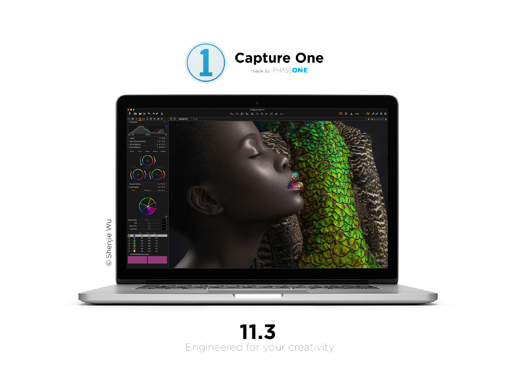



## $11.3$ Engineered for your creativity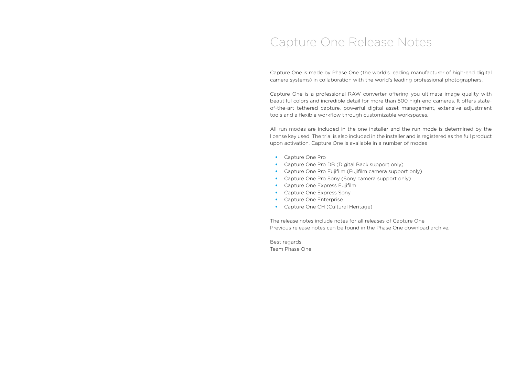### Capture One Release Notes

Capture One is made by Phase One (the world's leading manufacturer of high-end digital camera systems) in collaboration with the world's leading professional photographers.

Capture One is a professional RAW converter offering you ultimate image quality with beautiful colors and incredible detail for more than 500 high-end cameras. It offers stateof-the-art tethered capture, powerful digital asset management, extensive adjustment tools and a flexible workflow through customizable workspaces.

All run modes are included in the one installer and the run mode is determined by the license key used. The trial is also included in the installer and is registered as the full product upon activation. Capture One is available in a number of modes

- Capture One Pro
- Capture One Pro DB (Digital Back support only)
- Capture One Pro Fujifilm (Fujifilm camera support only)
- Capture One Pro Sony (Sony camera support only)
- Capture One Express Fujifilm
- Capture One Express Sony
- Capture One Enterprise
- Capture One CH (Cultural Heritage)

The release notes include notes for all releases of Capture One. Previous release notes can be found in the Phase One download archive.

Best regards, Team Phase One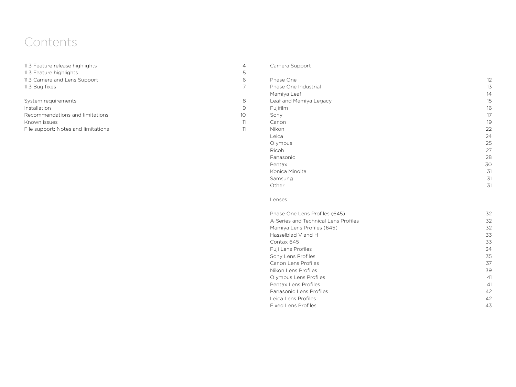## Contents

| 11.3 Feature release highlights     | $\overline{4}$ |
|-------------------------------------|----------------|
| 11.3 Feature highlights             | 5              |
| 11.3 Camera and Lens Support        | 6              |
| 11.3 Bug fixes                      | 7              |
| System requirements                 | 8              |
| Installation                        | 9              |
| Recommendations and limitations     | 1 <sup>O</sup> |
| Known issues                        | 11             |
| File support: Notes and limitations | 11             |

### Camera Support

4

5

6

7

8

9<br>10

| Phase One Industrial   | 13 |
|------------------------|----|
|                        |    |
| Mamiya Leaf            | 14 |
| Leaf and Mamiya Legacy | 15 |
| Fujifilm               | 16 |
| Sony                   | 17 |
| Canon                  | 19 |
| Nikon                  | 22 |
| Leica                  | 24 |
| Olympus                | 25 |
| Ricoh                  | 27 |
| Panasonic              | 28 |
| Pentax                 | 30 |
| Konica Minolta         | 31 |
| Samsung                | 31 |
| Other                  | 31 |
|                        |    |

### Lenses

| Phase One Lens Profiles (645)        | 32 |
|--------------------------------------|----|
| A-Series and Technical Lens Profiles | 32 |
| Mamiya Lens Profiles (645)           | 32 |
| Hasselblad V and H                   | 33 |
| Contax 645                           | 33 |
| Fuji Lens Profiles                   | 34 |
| Sony Lens Profiles                   | 35 |
| Canon Lens Profiles                  | 37 |
| Nikon Lens Profiles                  | 39 |
| Olympus Lens Profiles                | 41 |
| Pentax Lens Profiles                 | 41 |
| Panasonic Lens Profiles              | 42 |
| Leica Lens Profiles                  | 42 |
| <b>Fixed Lens Profiles</b>           | 43 |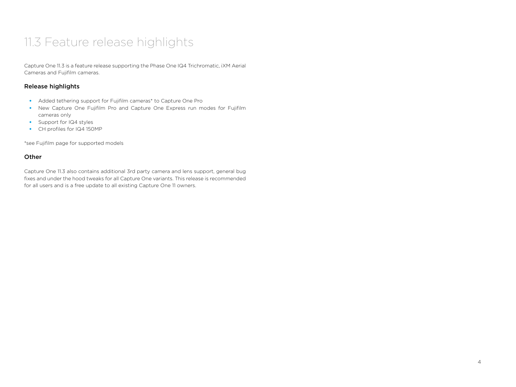## 11.3 Feature release highlights

Capture One 11.3 is a feature release supporting the Phase One IQ4 Trichromatic, iXM Aerial Cameras and Fujifilm cameras.

### Release highlights

- Added tethering support for Fujifilm cameras\* to Capture One Pro
- New Capture One Fujifilm Pro and Capture One Express run modes for Fujifilm cameras only
- Support for IQ4 styles
- CH profiles for IQ4 150MP

\*see Fujifilm page for supported models

### **Other**

Capture One 11.3 also contains additional 3rd party camera and lens support, general bug fixes and under the hood tweaks for all Capture One variants. This release is recommended for all users and is a free update to all existing Capture One 11 owners.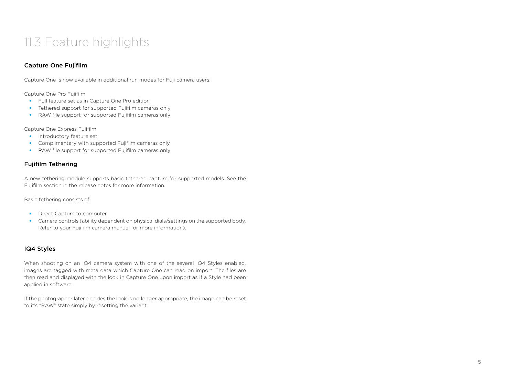## 11.3 Feature highlights

### Capture One Fujifilm

Capture One is now available in additional run modes for Fuji camera users:

Capture One Pro Fujifilm

- Full feature set as in Capture One Pro edition
- Tethered support for supported Fujifilm cameras only
- RAW file support for supported Fujifilm cameras only

Capture One Express Fujifilm

- Introductory feature set
- Complimentary with supported Fujifilm cameras only
- RAW file support for supported Fujifilm cameras only

### Fujifilm Tethering

A new tethering module supports basic tethered capture for supported models. See the Fujifilm section in the release notes for more information.

Basic tethering consists of:

- Direct Capture to computer
- Camera controls (ability dependent on physical dials/settings on the supported body. Refer to your Fujifilm camera manual for more information).

### IQ4 Styles

When shooting on an IQ4 camera system with one of the several IQ4 Styles enabled, images are tagged with meta data which Capture One can read on import. The files are then read and displayed with the look in Capture One upon import as if a Style had been applied in software.

If the photographer later decides the look is no longer appropriate, the image can be reset to it's "RAW" state simply by resetting the variant.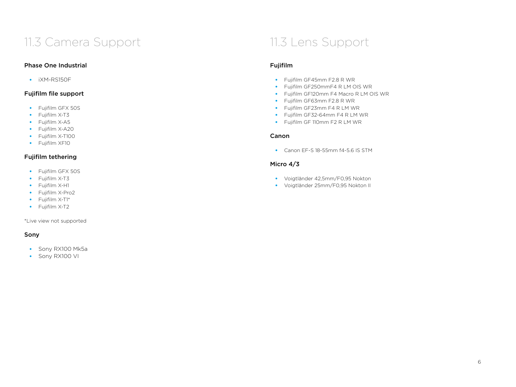## 11.3 Camera Support 11.3 Lens Support

### Phase One Industrial

• iXM-RS150F

### Fujifilm file support

- Fujifilm GFX 50S
- Fujifilm X-T3
- Fujifilm X-A5
- Fujifilm X-A20
- Fujifilm X-T100
- Fujifilm XF10

### Fujifilm tethering

- Fujifilm GFX 50S
- Fujifilm X-T3
- Fujifilm X-H1
- Fujifilm X-Pro2
- Fujifilm X-T1\*
- Fujifilm X-T2

\*Live view not supported

### Sony

- Sony RX100 Mk5a
- Sony RX100 VI

### Fujifilm

- Fujifilm GF45mm F2.8 R WR
- Fujifilm GF250mmF4 R LM OIS WR
- Fujifilm GF120mm F4 Macro R LM OIS WR
- Fujifilm GF63mm F2.8 R WR
- Fujifilm GF23mm F4 R LM WR
- Fujifilm GF32-64mm F4 R LM WR
- Fujifilm GF 110mm F2 R LM WR

### Canon

• Canon EF-S 18-55mm f4-5.6 IS STM

### Micro 4/3

- Voigtländer 42,5mm/F0,95 Nokton
- Voigtländer 25mm/F0,95 Nokton II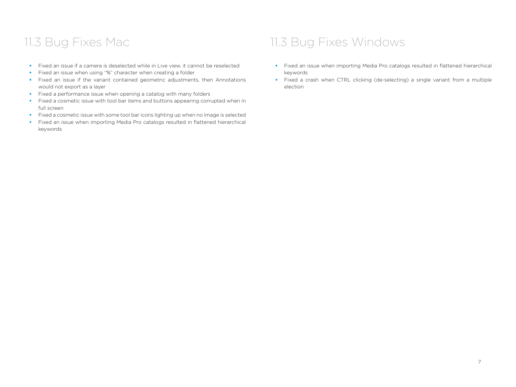- Fixed an issue if a camera is deselected while in Live view, it cannot be reselected
- Fixed an issue when using "%" character when creating a folder
- Fixed an issue if the variant contained geometric adjustments, then Annotations would not export as a layer
- Fixed a performance issue when opening a catalog with many folders
- Fixed a cosmetic issue with tool bar items and buttons appearing corrupted when in full screen
- Fixed a cosmetic issue with some tool bar icons lighting up when no image is selected
- Fixed an issue when importing Media Pro catalogs resulted in flattened hierarchical keywords

## 11.3 Bug Fixes Mac 11.3 Bug Fixes Windows

- Fixed an issue when importing Media Pro catalogs resulted in flattened hierarchical keywords
- Fixed a crash when CTRL clicking (de-selecting) a single variant from a multiple election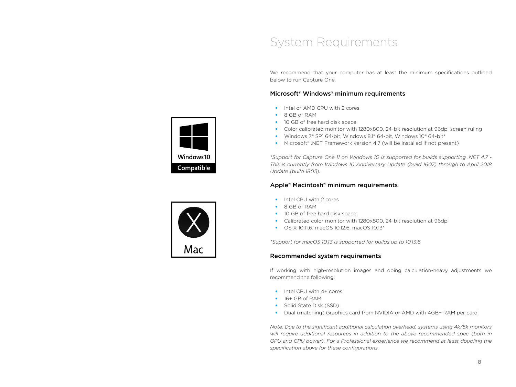### System Requirements

We recommend that your computer has at least the minimum specifications outlined below to run Capture One.

### Microsoft® Windows® minimum requirements

- Intel or AMD CPU with 2 cores
- 8 GB of RAM
- 10 GB of free hard disk space
- Color calibrated monitor with 1280x800, 24-bit resolution at 96dpi screen ruling
- Windows 7® SP1 64-bit, Windows 8.1® 64-bit, Windows 10® 64-bit\*
- Microsoft® .NET Framework version 4.7 (will be installed if not present)

*\*Support for Capture One 11 on Windows 10 is supported for builds supporting .NET 4.7 - This is currently from Windows 10 Anniversary Update (build 1607) through to April 2018 Update (build 1803).*

### Apple® Macintosh® minimum requirements

- Intel CPU with 2 cores
- 8 GB of RAM
- 10 GB of free hard disk space
- Calibrated color monitor with 1280x800, 24-bit resolution at 96dpi
- OS X 10.11.6, macOS 10.12.6, macOS 10.13\*

*\*Support for macOS 10.13 is supported for builds up to 10.13.6*

### Recommended system requirements

If working with high-resolution images and doing calculation-heavy adjustments we recommend the following:

- Intel CPU with 4+ cores
- 16+ GB of RAM
- Solid State Disk (SSD)
- Dual (matching) Graphics card from NVIDIA or AMD with 4GB+ RAM per card

*Note: Due to the significant additional calculation overhead, systems using 4k/5k monitors will require additional resources in addition to the above recommended spec (both in GPU and CPU power). For a Professional experience we recommend at least doubling the*  specification above for these configurations.



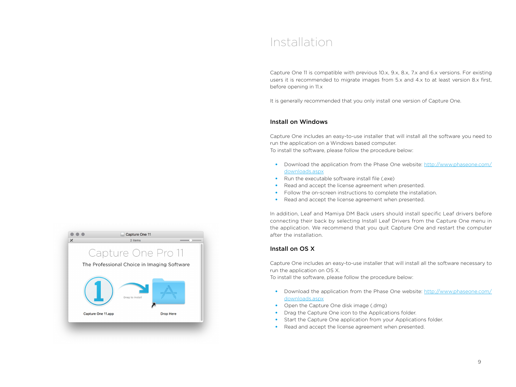### Installation

Capture One 11 is compatible with previous 10.x, 9.x, 8.x, 7.x and 6.x versions. For existing users it is recommended to migrate images from 5.x and 4.x to at least version 8.x first, before opening in 11.x

It is generally recommended that you only install one version of Capture One.

### Install on Windows

Capture One includes an easy-to-use installer that will install all the software you need to run the application on a Windows based computer. To install the software, please follow the procedure below:

- Download the application from the Phase One website: http://www.phaseone.com/ downloads.aspx
- Run the executable software install file  $(exe)$
- Read and accept the license agreement when presented.
- Follow the on-screen instructions to complete the installation.
- Read and accept the license agreement when presented.

In addition, Leaf and Mamiya DM Back users should install specific Leaf drivers before connecting their back by selecting Install Leaf Drivers from the Capture One menu in the application. We recommend that you quit Capture One and restart the computer after the installation.

### Install on OS X

Capture One includes an easy-to-use installer that will install all the software necessary to run the application on OS X.

To install the software, please follow the procedure below:

- Download the application from the Phase One website: http://www.phaseone.com/ downloads.aspx
- Open the Capture One disk image (.dmg)
- Drag the Capture One icon to the Applications folder.
- Start the Capture One application from your Applications folder.
- Read and accept the license agreement when presented.

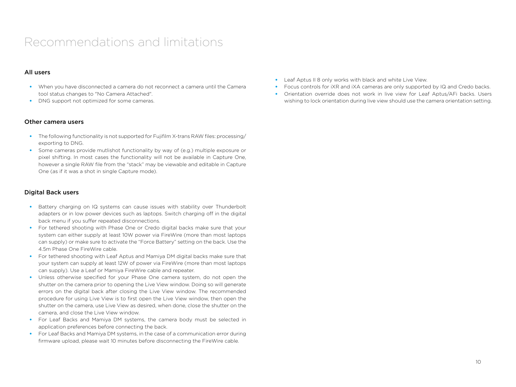## Recommendations and limitations

### All users

- When you have disconnected a camera do not reconnect a camera until the Camera tool status changes to "No Camera Attached".
- DNG support not optimized for some cameras.

### Other camera users

- The following functionality is not supported for Fujifilm X-trans RAW files: processing/ exporting to DNG.
- Some cameras provide mutlishot functionality by way of (e.g.) multiple exposure or pixel shifting. In most cases the functionality will not be available in Capture One, however a single RAW file from the "stack" may be viewable and editable in Capture One (as if it was a shot in single Capture mode).

### Digital Back users

- Battery charging on IQ systems can cause issues with stability over Thunderbolt adapters or in low power devices such as laptops. Switch charging off in the digital back menu if you suffer repeated disconnections.
- For tethered shooting with Phase One or Credo digital backs make sure that your system can either supply at least 10W power via FireWire (more than most laptops can supply) or make sure to activate the "Force Battery" setting on the back. Use the 4.5m Phase One FireWire cable.
- For tethered shooting with Leaf Aptus and Mamiya DM digital backs make sure that your system can supply at least 12W of power via FireWire (more than most laptops can supply). Use a Leaf or Mamiya FireWire cable and repeater.
- Unless otherwise specified for your Phase One camera system, do not open the shutter on the camera prior to opening the Live View window. Doing so will generate errors on the digital back after closing the Live View window. The recommended procedure for using Live View is to first open the Live View window, then open the shutter on the camera, use Live View as desired, when done, close the shutter on the camera, and close the Live View window.
- For Leaf Backs and Mamiya DM systems, the camera body must be selected in application preferences before connecting the back.
- For Leaf Backs and Mamiya DM systems, in the case of a communication error during firmware upload, please wait 10 minutes before disconnecting the FireWire cable.
- Leaf Aptus II 8 only works with black and white Live View.
- Focus controls for iXR and iXA cameras are only supported by IQ and Credo backs.
- Orientation override does not work in live view for Leaf Aptus/AFi backs. Users wishing to lock orientation during live view should use the camera orientation setting.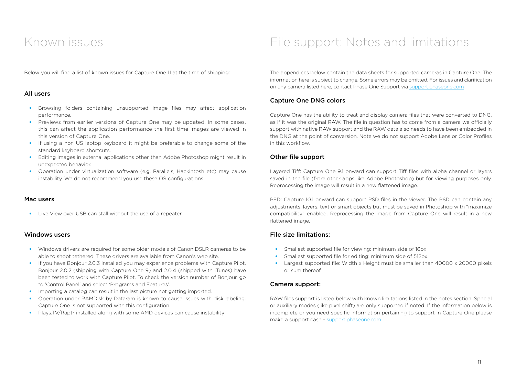Below you will find a list of known issues for Capture One 11 at the time of shipping:

### All users

- Browsing folders containing unsupported image files may affect application performance.
- Previews from earlier versions of Capture One may be updated. In some cases, this can affect the application performance the first time images are viewed in this version of Capture One.
- If using a non US laptop keyboard it might be preferable to change some of the standard keyboard shortcuts.
- Editing images in external applications other than Adobe Photoshop might result in unexpected behavior.
- Operation under virtualization software (e.g. Parallels, Hackintosh etc) may cause instability. We do not recommend you use these OS configurations.

#### Mac users

• Live View over USB can stall without the use of a repeater.

#### Windows users

- Windows drivers are required for some older models of Canon DSLR cameras to be able to shoot tethered. These drivers are available from Canon's web site.
- If you have Bonjour 2.0.3 installed you may experience problems with Capture Pilot. Bonjour 2.0.2 (shipping with Capture One 9) and 2.0.4 (shipped with iTunes) have been tested to work with Capture Pilot. To check the version number of Bonjour, go to 'Control Panel' and select 'Programs and Features'.
- Importing a catalog can result in the last picture not getting imported.
- Operation under RAMDisk by Dataram is known to cause issues with disk labeling. Capture One is not supported with this configuration.
- Plays.TV/Raptr installed along with some AMD devices can cause instability

## Known issues File support: Notes and limitations

The appendices below contain the data sheets for supported cameras in Capture One. The information here is subject to change. Some errors may be omitted. For issues and clarification on any camera listed here, contact Phase One Support via support.phaseone.com

### Capture One DNG colors

Capture One has the ability to treat and display camera files that were converted to DNG, as if it was the original RAW. The file in question has to come from a camera we officially support with native RAW support and the RAW data also needs to have been embedded in the DNG at the point of conversion. Note we do not support Adobe Lens or Color Profiles in this workflow.

### Other file support

Layered Tiff: Capture One 9.1 onward can support Tiff files with alpha channel or layers saved in the file (from other apps like Adobe Photoshop) but for viewing purposes only. Reprocessing the image will result in a new flattened image.

PSD: Capture 10.1 onward can support PSD files in the viewer. The PSD can contain any adjustments, layers, text or smart objects but must be saved in Photoshop with "maximize compatibility" enabled. Reprocessing the image from Capture One will result in a new flattened image.

### File size limitations:

- Smallest supported file for viewing: minimum side of 16px
- Smallest supported file for editing: minimum side of 512px.
- Largest supported file: Width x Height must be smaller than 40000 x 20000 pixels or sum thereof.

### Camera support:

RAW files support is listed below with known limitations listed in the notes section. Special or auxiliary modes (like pixel shift) are only supported if noted. If the information below is incomplete or you need specific information pertaining to support in Capture One please make a support case - support.phaseone.com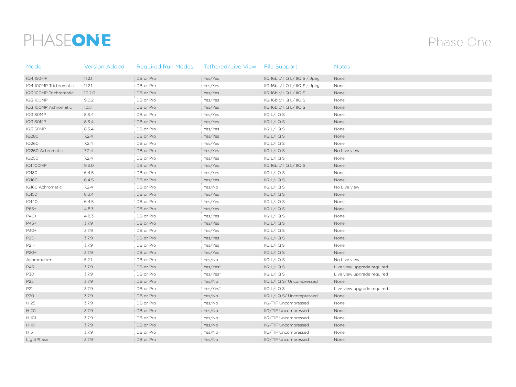# PHASEONE

## Phase One

| Model                  | <b>Version Added</b> | <b>Required Run Modes</b> | Tethered/Live View File Support |                                                                   | <b>Notes</b>               |
|------------------------|----------------------|---------------------------|---------------------------------|-------------------------------------------------------------------|----------------------------|
| IQ4 150MP              | : 11.2.1             | DB or Pro                 | Yes/Yes                         | IQ 16bit/IIQ L/IIQ S / Jpeg                                       | None                       |
| IQ4 100MP Trichromatic | : 11.2.1             | DB or Pro                 | Yes/Yes                         | IQ 16bit/IQ L/IIQ S / Jpeg                                        | None                       |
| IQ3 100MP Trichromatic | 10.2.0               | DB or Pro                 | Yes/Yes                         | $\overline{11}$ Q 16bit/ $\overline{11}$ Q L/ $\overline{11}$ Q S | None                       |
| IQ3 100MP              | 9.0.2                | DB or Pro                 | Yes/Yes                         | IQ 16bit/IQ L/IIQ S                                               | None                       |
| IQ3 100MP Achromatic   | 10.1.1               | DB or Pro                 | Yes/Yes                         | $\overline{11}$ Q 16bit/ $\overline{11}$ Q L/ $\overline{11}$ Q S | None                       |
| <b>IQ3 80MP</b>        | 8.3.4                | DB or Pro                 | Yes/Yes                         | IIQ L/IIQ S                                                       | None                       |
| <b>IQ3 60MP</b>        | 8.3.4                | DB or Pro                 | Yes/Yes                         | IQ L/IIQ S                                                        | None                       |
| <b>IQ3 50MP</b>        | 8.3.4                | DB or Pro                 | Yes/Yes                         | IIQ L/IIQ S                                                       | None                       |
| <b>IQ280</b>           | 7.2.4                | DB or Pro                 | Yes/Yes                         | $\frac{1}{2}$ IIQ L/IIQ S                                         | None                       |
| <b>IQ260</b>           | 7.2.4                | DB or Pro                 | Yes/Yes                         | IIQ L/IIQ S                                                       | None                       |
| IQ260 Achromatic       | 7.2.4                | DB or Pro                 | Yes/Yes                         | $\frac{1}{2}$ IIQ L/IIQ S                                         | No Live view               |
| IQ250                  | 7.2.4                | DB or Pro                 | Yes/Yes                         | IIQ L/IIQ S                                                       | None                       |
| <b>IQ1100MP</b>        | 9.3.0                | DB or Pro                 | Yes/Yes                         | IIQ 16bit/IIQ L/IIQ S                                             | None                       |
| <b>IQ180</b>           | 6.4.5                | DB or Pro                 | Yes/Yes                         | IIQ L/IIQ S                                                       | None                       |
| <b>IQ160</b>           | 6.4.5                | DB or Pro                 | Yes/Yes                         | IIQ L/IIQ S                                                       | None                       |
| IQ160 Achromatic       | 7.2.4                | DB or Pro                 | Yes/No                          | IIQ L/IIQ S                                                       | No Live view               |
| <b>IQ150</b>           | 8.3.4                | DB or Pro                 | Yes/Yes                         | IIQ L/IIQ S                                                       | None                       |
| <b>IQ140</b>           | 6.4.5                | DB or Pro                 | Yes/Yes                         | IIQ L/IIQ S                                                       | None                       |
| P65+                   | 4.8.3                | DB or Pro                 | Yes/Yes                         | $\frac{1}{2}$ IIQ L/IIQ S                                         | None                       |
| P40+                   | 4.8.3                | DB or Pro                 | Yes/Yes                         | IIQ L/IIQ S                                                       | None                       |
| P45+                   | 3.7.9                | DB or Pro                 | Yes/Yes                         | $\frac{1}{2}$ IIQ L/IIQ S                                         | None                       |
| P30+                   | 3.7.9                | DB or Pro                 | Yes/Yes                         | IIQ L/IIQ S                                                       | None                       |
| P25+                   | 3.7.9                | DB or Pro                 | Yes/Yes                         | IIQ L/IIQ S                                                       | None                       |
| P21+                   | 3.7.9                | DB or Pro                 | Yes/Yes                         | IIQ L/IIQ S                                                       | None                       |
| P20+                   | 3.7.9                | DB or Pro                 | Yes/Yes                         | IIQ L/IIQ S                                                       | None                       |
| Achromatic+            | 5.2.1                | DB or Pro                 | Yes/No                          | IIQ L/IIQ S                                                       | No Live view               |
| P45                    | 3.7.9                | DB or Pro                 | Yes/Yes*                        | IIQ L/IIQ S                                                       | Live view upgrade required |
| P30                    | 3.7.9                | DB or Pro                 | Yes/Yes*                        | IIQ L/IIQ S                                                       | Live view upgrade required |
| P25                    | 3.7.9                | DB or Pro                 | Yes/No                          | IQ L/IIQ S/ Uncompressed                                          | None                       |
| P21                    | 3.7.9                | DB or Pro                 | Yes/Yes*                        | $\frac{1}{2}$ IIQ L/IIQ S                                         | Live view upgrade required |
| P20                    | 3.7.9                | DB or Pro                 | Yes/No                          | IQ L/IIQ S/ Uncompressed                                          | None                       |
| H 25                   | 3.7.9                | DB or Pro                 | Yes/No                          | IIQ/TIF Uncompressed                                              | None                       |
| H 20                   | 3.7.9                | DB or Pro                 | Yes/No                          | IQ/TIF Uncompressed                                               | None                       |
| H 101                  | 3.7.9                | DB or Pro                 | Yes/No                          | IIQ/TIF Uncompressed                                              | None                       |
| H10                    | 3.7.9                | DB or Pro                 | Yes/No                          | IIQ/TIF Uncompressed                                              | None                       |
| H <sub>5</sub>         | 3.7.9                | DB or Pro                 | Yes/No                          | IIQ/TIF Uncompressed                                              | None                       |
| LightPhase             | 3.7.9                | DB or Pro                 | Yes/No                          | IQ/TIF Uncompressed                                               | None                       |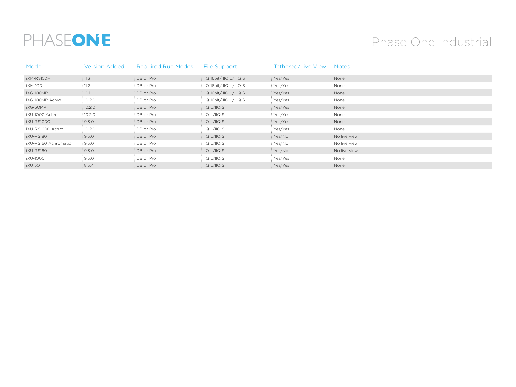# PHASEONE

## Phase One Industrial

| Model                | <b>Version Added</b> | <b>Required Run Modes</b> | File Support                 | Tethered/Live View Notes |              |
|----------------------|----------------------|---------------------------|------------------------------|--------------------------|--------------|
| <b>iXM-RS150F</b>    | : 11.3               | DB or Pro                 | : IIQ 16bit/ IIQ L/ IIQ S    | : Yes/Yes                | None         |
| iXM-100              | 11.2                 | DB or Pro                 | IIQ 16bit/ IIQ L/ IIQ S      | Yes/Yes                  | None         |
| iXG-100MP            | 10.1.1               | DB or Pro                 | IIQ 16bit/IIQ L/IIQ S        | : Yes/Yes                | None         |
| iXG-100MP Achro      | 10.2.0               | DB or Pro                 | IIQ 16bit/ IIQ L/ IIQ S      | Yes/Yes                  | None         |
| iXG-50MP             | 10.2.0               | DB or Pro                 | $\ln Q$ $L/11Q$ $S$          | : Yes/Yes                | : None       |
| iXU-1000 Achro       | 10.2.0               | DB or Pro                 | IIQ L/IIQ S                  | Yes/Yes                  | : None       |
| iXU-RS1000           | 9.3.0                | DB or Pro                 | IIQ L/IIQ S                  | : Yes/Yes                | None         |
| iXU-RS1000 Achro     | 10.2.0               | DB or Pro                 | $\overline{11Q}$ $L/11Q$ $S$ | Yes/Yes                  | None         |
| iXU-RS180            | 9.3.0                | DB or Pro                 | IIQ L/IIQ S                  | : Yes/No                 | No live view |
| iXU-RS160 Achromatic | 9.3.0                | DB or Pro                 | IIQ L/IIQ S                  | : Yes/No                 | No live view |
| iXU-RS160            | 9.3.0                | DB or Pro                 | IIQ L/IIQ S                  | Yes/No                   | No live view |
| iXU-1000             | 9.3.0                | DB or Pro                 | IIQ L/IIQ S                  | Yes/Yes                  | None         |
| iXU150               | 8.3.4                | DB or Pro                 | IIQ L/IIQ S                  | Yes/Yes                  | None         |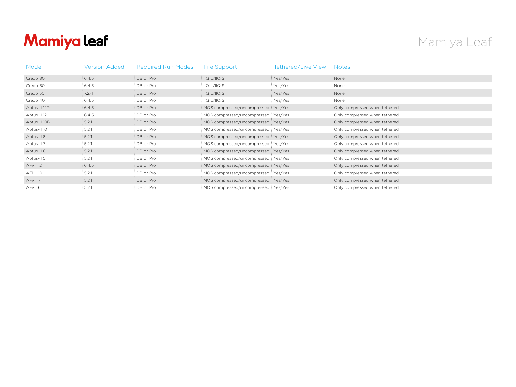## Mamiya leaf

## Mamiya Leaf

| Model            | Version Added | <b>Required Run Modes</b> | File Support                          | Tethered/Live View | <b>Notes</b>                  |
|------------------|---------------|---------------------------|---------------------------------------|--------------------|-------------------------------|
| Credo 80         | 6.4.5         | DB or Pro                 | IIQ L/IIQ S                           | Yes/Yes            | None                          |
| Credo 60         | 6.4.5         | DB or Pro                 | IIQ L/IIQ S                           | Yes/Yes            | None                          |
| Credo 50         | 7.2.4         | DB or Pro                 | IIQ L/IIQ S                           | Yes/Yes            | None                          |
| Credo 40         | 6.4.5         | DB or Pro                 | I/Q L/I/Q S                           | Yes/Yes            | None                          |
| Aptus-II 12R     | 6.4.5         | DB or Pro                 | MOS compressed/uncompressed : Yes/Yes |                    | Only compressed when tethered |
| Aptus-II 12      | 6.4.5         | DB or Pro                 | MOS compressed/uncompressed: Yes/Yes  |                    | Only compressed when tethered |
| Aptus-II 10R     | 5.2.1         | DB or Pro                 | MOS compressed/uncompressed: Yes/Yes  |                    | Only compressed when tethered |
| Aptus-II 10      | 5.2.1         | DB or Pro                 | MOS compressed/uncompressed: Yes/Yes  |                    | Only compressed when tethered |
| Aptus-II 8       | 5.2.1         | DB or Pro                 | MOS compressed/uncompressed Yes/Yes   |                    | Only compressed when tethered |
| Aptus-II 7       | 5.2.1         | DB or Pro                 | MOS compressed/uncompressed: Yes/Yes  |                    | Only compressed when tethered |
| Aptus-II 6       | 5.2.1         | DB or Pro                 | MOS compressed/uncompressed Ves/Yes   |                    | Only compressed when tethered |
| Aptus-II 5       | 5.2.1         | DB or Pro                 | MOS compressed/uncompressed: Yes/Yes  |                    | Only compressed when tethered |
| <b>AFi-II 12</b> | 6.4.5         | DB or Pro                 | MOS compressed/uncompressed: Yes/Yes  |                    | Only compressed when tethered |
| AFi-II 10        | 5.2.1         | DB or Pro                 | MOS compressed/uncompressed: Yes/Yes  |                    | Only compressed when tethered |
| AFi-II 7         | 5.2.1         | DB or Pro                 | MOS compressed/uncompressed Yes/Yes   |                    | Only compressed when tethered |
| AFi-II 6         | 5.2.1         | DB or Pro                 | MOS compressed/uncompressed   Yes/Yes |                    | Only compressed when tethered |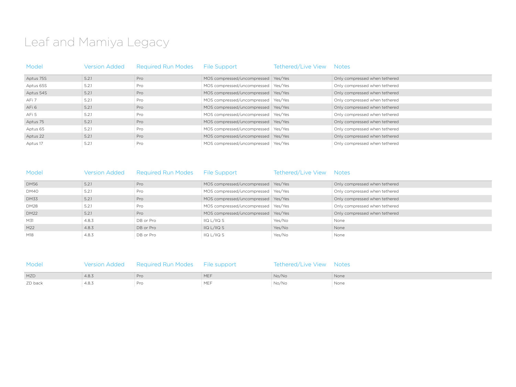## Leaf and Mamiya Legacy

| Model     | <b>Version Added</b> | <b>Required Run Modes</b> | File Support                          | Tethered/Live View | <b>Notes</b>                  |
|-----------|----------------------|---------------------------|---------------------------------------|--------------------|-------------------------------|
| Aptus 75S | 5.2.1                | : Pro                     | MOS compressed/uncompressed Yes/Yes   |                    | Only compressed when tethered |
| Aptus 65S | 5.2.1                | : Pro                     | MOS compressed/uncompressed   Yes/Yes |                    | Only compressed when tethered |
| Aptus 54S | 5.2.1                | : Pro                     | MOS compressed/uncompressed Pes/Yes   |                    | Only compressed when tethered |
| AFi 7     | 5.2.1                | Pro                       | MOS compressed/uncompressed: Yes/Yes  |                    | Only compressed when tethered |
| AFi 6     | 5.2.1                | : Pro                     | MOS compressed/uncompressed Yes/Yes   |                    | Only compressed when tethered |
| AFi 5     | : 5.2.1              | : Pro                     | MOS compressed/uncompressed : Yes/Yes |                    | Only compressed when tethered |
| Aptus 75  | 5.2.1                | : Pro                     | MOS compressed/uncompressed Yes/Yes   |                    | Only compressed when tethered |
| Aptus 65  | 5.2.1                | : Pro                     | MOS compressed/uncompressed: Yes/Yes  |                    | Only compressed when tethered |
| Aptus 22  | 5.2.1                | : Pro                     | MOS compressed/uncompressed: Yes/Yes  |                    | Only compressed when tethered |
| Aptus 17  | 5.2.1                | : Pro                     | MOS compressed/uncompressed: Yes/Yes  |                    | Only compressed when tethered |

| Model       | <b>Version Added</b> | <b>Required Run Modes</b> | File Support                          | Tethered/Live View | <b>Notes</b>                    |
|-------------|----------------------|---------------------------|---------------------------------------|--------------------|---------------------------------|
| <b>DM56</b> | 5.2.1                | : Pro                     | MOS compressed/uncompressed Yes/Yes   |                    | Only compressed when tethered   |
| DM40        | 5.2.1                | : Pro                     | MOS compressed/uncompressed   Yes/Yes |                    | Only compressed when tethered   |
| <b>DM33</b> | 5.2.1                | : Pro                     | MOS compressed/uncompressed Yes/Yes   |                    | Only compressed when tethered   |
| <b>DM28</b> | 5.2.1                | : Pro                     | MOS compressed/uncompressed   Yes/Yes |                    | Only compressed when tethered   |
| <b>DM22</b> | $\pm$ 5.2.1          | Pro                       | MOS compressed/uncompressed : Yes/Yes |                    | : Only compressed when tethered |
| M31         | 4.8.3                | DB or Pro                 | $\frac{1}{2}$ IIQ L/IIQ S             | : Yes/No           | : None                          |
| M22         | 4.8.3                | DB or Pro                 | $\parallel$ IIQ L/IIQ S               | i Yes/No           | : None                          |
| M18         | : 4.8.3              | DB or Pro                 | $\frac{1}{2}$ IIQ L/IIQ S             | : Yes/No           | : None                          |

| Model   |       | Version Added Required Run Modes File support | Tethered/Live View Notes |        |
|---------|-------|-----------------------------------------------|--------------------------|--------|
| MZD     | 4.8.3 | : Pro                                         | : No/No                  | : None |
| ZD back | 4.8.3 | : Pro                                         | : No/No                  | None   |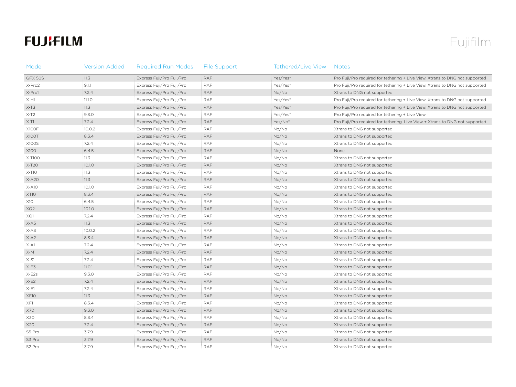## **FUJIFILM**

## Fujifilm

| Model              | <b>Version Added</b> | <b>Required Run Modes</b> | <b>File Support</b> | Tethered/Live View | <b>Notes</b>                                                                 |
|--------------------|----------------------|---------------------------|---------------------|--------------------|------------------------------------------------------------------------------|
| GFX 50S            | 11.3                 | Express Fuji/Pro Fuji/Pro | <b>RAF</b>          | Yes/Yes*           | Pro Fuji/Pro required for tethering + Live View. Xtrans to DNG not supported |
| X-Pro2             | 9.1.1                | Express Fuji/Pro Fuji/Pro | <b>RAF</b>          | Yes/Yes*           | Pro Fuji/Pro required for tethering + Live View. Xtrans to DNG not supported |
| X-Pro1             | 7.2.4                | Express Fuji/Pro Fuji/Pro | <b>RAF</b>          | No/No              | Xtrans to DNG not supported                                                  |
| $X-H1$             | 11.1.O               | Express Fuji/Pro Fuji/Pro | <b>RAF</b>          | Yes/Yes*           | Pro Fuji/Pro required for tethering + Live View. Xtrans to DNG not supported |
| $X-T3$             | 11.3                 | Express Fuji/Pro Fuji/Pro | RAF                 | Yes/Yes*           | Pro Fuji/Pro required for tethering + Live View. Xtrans to DNG not supported |
| $X-T2$             | 9.3.0                | Express Fuji/Pro Fuji/Pro | <b>RAF</b>          | Yes/Yes*           | Pro Fuji/Pro required for tethering + Live View                              |
| $X-T1$             | 7.2.4                | Express Fuji/Pro Fuji/Pro | <b>RAF</b>          | Yes/No*            | Pro Fuji/Pro required for tethering. Live View + Xtrans to DNG not supported |
| X100F              | 10.0.2               | Express Fuji/Pro Fuji/Pro | <b>RAF</b>          | No/No              | Xtrans to DNG not supported                                                  |
| <b>X100T</b>       | 8.3.4                | Express Fuji/Pro Fuji/Pro | <b>RAF</b>          | No/No              | Xtrans to DNG not supported                                                  |
| <b>X100S</b>       | 7.2.4                | Express Fuji/Pro Fuji/Pro | <b>RAF</b>          | No/No              | Xtrans to DNG not supported                                                  |
| X100               | 6.4.5                | Express Fuji/Pro Fuji/Pro | RAF                 | No/No              | None                                                                         |
| X-T100             | 11.3                 | Express Fuji/Pro Fuji/Pro | <b>RAF</b>          | No/No              | Xtrans to DNG not supported                                                  |
| $X-T20$            | 10.1.0               | Express Fuji/Pro Fuji/Pro | <b>RAF</b>          | No/No              | Xtrans to DNG not supported                                                  |
| $X-T10$            | 11.3                 | Express Fuji/Pro Fuji/Pro | <b>RAF</b>          | No/No              | Xtrans to DNG not supported                                                  |
| $X-A20$            | 11.3                 | Express Fuji/Pro Fuji/Pro | RAF                 | No/No              | Xtrans to DNG not supported                                                  |
| $X-A10$            | 10.1.0               | Express Fuji/Pro Fuji/Pro | <b>RAF</b>          | No/No              | Xtrans to DNG not supported                                                  |
| XT10               | 8.3.4                | Express Fuji/Pro Fuji/Pro | <b>RAF</b>          | No/No              | Xtrans to DNG not supported                                                  |
| X10                | 6.4.5                | Express Fuji/Pro Fuji/Pro | <b>RAF</b>          | No/No              | Xtrans to DNG not supported                                                  |
| XQ2                | 10.1.0               | Express Fuji/Pro Fuji/Pro | <b>RAF</b>          | No/No              | Xtrans to DNG not supported                                                  |
| XQ1                | 7.2.4                | Express Fuji/Pro Fuji/Pro | <b>RAF</b>          | No/No              | Xtrans to DNG not supported                                                  |
| $X-A5$             | 11.3                 | Express Fuji/Pro Fuji/Pro | RAF                 | No/No              | Xtrans to DNG not supported                                                  |
| X-A3               | 10.0.2               | Express Fuji/Pro Fuji/Pro | <b>RAF</b>          | No/No              | Xtrans to DNG not supported                                                  |
| $X-A2$             | 8.3.4                | Express Fuji/Pro Fuji/Pro | <b>RAF</b>          | No/No              | Xtrans to DNG not supported                                                  |
| $X-A1$             | 7.2.4                | Express Fuji/Pro Fuji/Pro | <b>RAF</b>          | No/No              | Xtrans to DNG not supported                                                  |
| $X-M1$             | 7.2.4                | Express Fuji/Pro Fuji/Pro | RAF                 | No/No              | Xtrans to DNG not supported                                                  |
| $X-S1$             | 7.2.4                | Express Fuji/Pro Fuji/Pro | <b>RAF</b>          | No/No              | Xtrans to DNG not supported                                                  |
| $X-E3$             | 11.0.1               | Express Fuji/Pro Fuji/Pro | <b>RAF</b>          | No/No              | Xtrans to DNG not supported                                                  |
| $X-E2s$            | 9.3.0                | Express Fuji/Pro Fuji/Pro | <b>RAF</b>          | No/No              | Xtrans to DNG not supported                                                  |
| $X-E2$             | 7.2.4                | Express Fuji/Pro Fuji/Pro | <b>RAF</b>          | No/No              | Xtrans to DNG not supported                                                  |
| $X-E1$             | 7.2.4                | Express Fuji/Pro Fuji/Pro | <b>RAF</b>          | No/No              | Xtrans to DNG not supported                                                  |
| XF10               | 11.3                 | Express Fuji/Pro Fuji/Pro | RAF                 | No/No              | Xtrans to DNG not supported                                                  |
| XF1                | 8.3.4                | Express Fuji/Pro Fuji/Pro | RAF                 | No/No              | Xtrans to DNG not supported                                                  |
| X70                | 9.3.0                | Express Fuji/Pro Fuji/Pro | RAF                 | No/No              | Xtrans to DNG not supported                                                  |
| X30                | 8.3.4                | Express Fuji/Pro Fuji/Pro | <b>RAF</b>          | No/No              | Xtrans to DNG not supported                                                  |
| X20                | 7.2.4                | Express Fuji/Pro Fuji/Pro | RAF                 | No/No              | Xtrans to DNG not supported                                                  |
| S5 Pro             | 3.7.9                | Express Fuji/Pro Fuji/Pro | <b>RAF</b>          | No/No              | Xtrans to DNG not supported                                                  |
| S3 Pro             | 3.7.9                | Express Fuji/Pro Fuji/Pro | RAF                 | No/No              | Xtrans to DNG not supported                                                  |
| S <sub>2</sub> Pro | 3.7.9                | Express Fuji/Pro Fuji/Pro | RAF                 | No/No              | Xtrans to DNG not supported                                                  |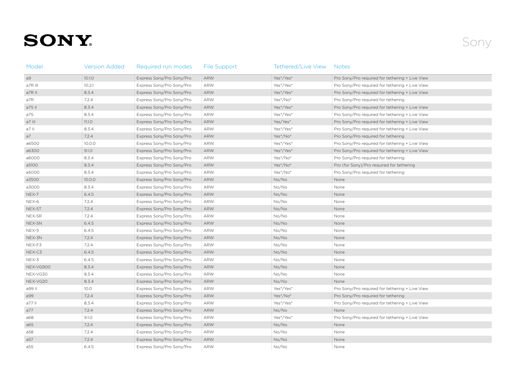# **SONY**

| Model     | <b>Version Added</b> | Required run modes        | <b>File Support</b> | Tethered/Live View | Notes                                           |
|-----------|----------------------|---------------------------|---------------------|--------------------|-------------------------------------------------|
| a9        | 10.1.0               | Express Sony/Pro Sony/Pro | <b>ARW</b>          | Yes*/Yes*          | Pro Sony/Pro required for tethering + Live View |
| a7R III   | 10.2.1               | Express Sony/Pro Sony/Pro | ARW                 | Yes*/Yes*          | Pro Sony/Pro required for tethering + Live View |
| a7R II    | 8.3.4                | Express Sony/Pro Sony/Pro | <b>ARW</b>          | Yes*/Yes*          | Pro Sony/Pro required for tethering + Live View |
| a7R       | 7.2.4                | Express Sony/Pro Sony/Pro | ARW                 | Yes*/No*           | Pro Sony/Pro required for tethering             |
| a7S II    | 8.3.4                | Express Sony/Pro Sony/Pro | <b>ARW</b>          | Yes*/Yes*          | Pro Sony/Pro required for tethering + Live View |
| a7S       | 8.3.4                | Express Sony/Pro Sony/Pro | ARW                 | Yes*/Yes*          | Pro Sony/Pro required for tethering + Live View |
| a7 III    | 11.1.0               | Express Sony/Pro Sony/Pro | <b>ARW</b>          | Yes/Yes*           | Pro Sony/Pro required for tethering + Live View |
| a7 II     | 8.3.4                | Express Sony/Pro Sony/Pro | <b>ARW</b>          | Yes*/Yes*          | Pro Sony/Pro required for tethering + Live View |
| a7        | 7.2.4                | Express Sony/Pro Sony/Pro | ARW                 | Yes*/No*           | Pro Sony/Pro required for tethering             |
| a6500     | 10.0.0               | Express Sony/Pro Sony/Pro | ARW                 | Yes*/Yes*          | Pro Sony/Pro required for tethering + Live View |
| a6300     | 9.1.0                | Express Sony/Pro Sony/Pro | <b>ARW</b>          | Yes*/Yes*          | Pro Sony/Pro required for tethering + Live View |
| a6000     | 8.3.4                | Express Sony/Pro Sony/Pro | ARW                 | Yes*/No*           | Pro Sony/Pro required for tethering             |
| a5100     | 8.3.4                | Express Sony/Pro Sony/Pro | <b>ARW</b>          | Yes*/No*           | Pro (for Sony)/Pro required for tethering       |
| a5000     | 8.3.4                | Express Sony/Pro Sony/Pro | ARW                 | Yes*/No*           | Pro Sony/Pro required for tethering             |
| a3500     | 10.0.0               | Express Sony/Pro Sony/Pro | <b>ARW</b>          | No/No              | None                                            |
| a3000     | 8.3.4                | Express Sony/Pro Sony/Pro | ARW                 | No/No              | None                                            |
| NEX-7     | 6.4.5                | Express Sony/Pro Sony/Pro | <b>ARW</b>          | No/No              | None                                            |
| NEX-6     | 7.2.4                | Express Sony/Pro Sony/Pro | <b>ARW</b>          | No/No              | None                                            |
| NEX-5T    | 7.2.4                | Express Sony/Pro Sony/Pro | ARW                 | No/No              | None                                            |
| NEX-5R    | 7.2.4                | Express Sony/Pro Sony/Pro | ARW                 | No/No              | None                                            |
| NEX-5N    | 6.4.5                | Express Sony/Pro Sony/Pro | ARW                 | No/No              | None                                            |
| NEX-5     | 6.4.5                | Express Sony/Pro Sony/Pro | ARW                 | No/No              | None                                            |
| NEX-3N    | 7.2.4                | Express Sony/Pro Sony/Pro | <b>ARW</b>          | No/No              | None                                            |
| NEX-F3    | 7.2.4                | Express Sony/Pro Sony/Pro | ARW                 | No/No              | None                                            |
| NEX-C3    | 6.4.5                | Express Sony/Pro Sony/Pro | <b>ARW</b>          | No/No              | None                                            |
| NEX-3     | 6.4.5                | Express Sony/Pro Sony/Pro | ARW                 | No/No              | None                                            |
| NEX-VG900 | 8.3.4                | Express Sony/Pro Sony/Pro | <b>ARW</b>          | No/No              | None                                            |
| NEX-VG30  | 8.3.4                | Express Sony/Pro Sony/Pro | ARW                 | No/No              | None                                            |
| NEX-VG20  | 8.3.4                | Express Sony/Pro Sony/Pro | <b>ARW</b>          | No/No              | None                                            |
| a99 II    | 10.0                 | Express Sony/Pro Sony/Pro | ARW                 | Yes*/Yes*          | Pro Sony/Pro required for tethering + Live View |
| a99       | 7.2.4                | Express Sony/Pro Sony/Pro | <b>ARW</b>          | Yes*/No*           | Pro Sony/Pro required for tethering             |
| a77 II    | 8.3.4                | Express Sony/Pro Sony/Pro | ARW                 | Yes*/Yes*          | Pro Sony/Pro required for tethering + Live View |
| a77       | 7.2.4                | Express Sony/Pro Sony/Pro | <b>ARW</b>          | No/No              | None                                            |
| a68       | 9.1.0                | Express Sony/Pro Sony/Pro | ARW                 | Yes*/Yes*          | Pro Sony/Pro required for tethering + Live View |
| a65       | 7.2.4                | Express Sony/Pro Sony/Pro | <b>ARW</b>          | No/No              | None                                            |
| a58       | 7.2.4                | Express Sony/Pro Sony/Pro | ARW                 | No/No              | None                                            |
| a57       | 7.2.4                | Express Sony/Pro Sony/Pro | ARW                 | No/No              | None                                            |
| a55       | 6.4.5                | Express Sony/Pro Sony/Pro | ARW                 | No/No              | None                                            |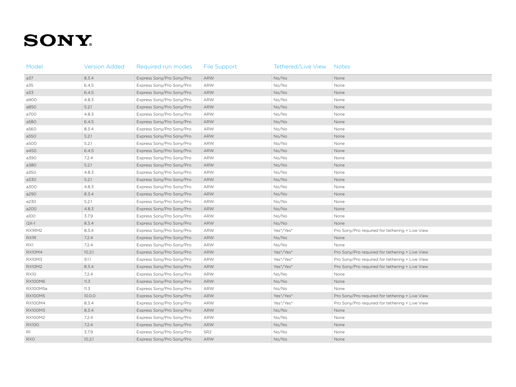# **SONY**

| Model          | <b>Version Added</b> | Required run modes        | <b>File Support</b> | Tethered/Live View | <b>Notes</b>                                    |
|----------------|----------------------|---------------------------|---------------------|--------------------|-------------------------------------------------|
| a37            | 8.3.4                | Express Sony/Pro Sony/Pro | ARW                 | No/No              | None                                            |
| a35            | 6.4.5                | Express Sony/Pro Sony/Pro | ARW                 | No/No              | None                                            |
| a33            | 6.4.5                | Express Sony/Pro Sony/Pro | ARW                 | No/No              | None                                            |
| a900           | 4.8.3                | Express Sony/Pro Sony/Pro | ARW                 | No/No              | None                                            |
| a850           | 5.2.1                | Express Sony/Pro Sony/Pro | ARW                 | No/No              | None                                            |
| a700           | 4.8.3                | Express Sony/Pro Sony/Pro | ARW                 | No/No              | None                                            |
| a580           | 6.4.5                | Express Sony/Pro Sony/Pro | ARW                 | No/No              | None                                            |
| a560           | 8.3.4                | Express Sony/Pro Sony/Pro | ARW                 | No/No              | None                                            |
| a550           | 5.2.1                | Express Sony/Pro Sony/Pro | ARW                 | No/No              | None                                            |
| a500           | 5.2.1                | Express Sony/Pro Sony/Pro | ARW                 | No/No              | None                                            |
| a450           | 6.4.5                | Express Sony/Pro Sony/Pro | ARW                 | No/No              | None                                            |
| a390           | 7.2.4                | Express Sony/Pro Sony/Pro | ARW                 | No/No              | None                                            |
| a380           | 5.2.1                | Express Sony/Pro Sony/Pro | ARW                 | No/No              | None                                            |
| a350           | 4.8.3                | Express Sony/Pro Sony/Pro | ARW                 | No/No              | None                                            |
| a330           | 5.2.1                | Express Sony/Pro Sony/Pro | ARW                 | No/No              | None                                            |
| a300           | 4.8.3                | Express Sony/Pro Sony/Pro | ARW                 | No/No              | None                                            |
| a290           | 8.3.4                | Express Sony/Pro Sony/Pro | ARW                 | No/No              | None                                            |
| a230           | 5.2.1                | Express Sony/Pro Sony/Pro | ARW                 | No/No              | None                                            |
| a200           | 4.8.3                | Express Sony/Pro Sony/Pro | ARW                 | No/No              | None                                            |
| a100           | 3.7.9                | Express Sony/Pro Sony/Pro | ARW                 | No/No              | None                                            |
| $QX-1$         | 8.3.4                | Express Sony/Pro Sony/Pro | ARW                 | No/No              | None                                            |
| RX1RM2         | 8.3.4                | Express Sony/Pro Sony/Pro | ARW                 | Yes*/Yes*          | Pro Sony/Pro required for tethering + Live View |
| <b>RX1R</b>    | 7.2.4                | Express Sony/Pro Sony/Pro | ARW                 | No/No              | None                                            |
| RX1            | 7.2.4                | Express Sony/Pro Sony/Pro | ARW                 | No/No              | None                                            |
| <b>RX10M4</b>  | 10.2.1               | Express Sony/Pro Sony/Pro | ARW                 | Yes*/Yes*          | Pro Sony/Pro required for tethering + Live View |
| <b>RX10M3</b>  | 9.1.1                | Express Sony/Pro Sony/Pro | ARW                 | Yes*/Yes*          | Pro Sony/Pro required for tethering + Live View |
| <b>RX10M2</b>  | 8.3.4                | Express Sony/Pro Sony/Pro | ARW                 | Yes*/Yes*          | Pro Sony/Pro required for tethering + Live View |
| <b>RX10</b>    | 7.2.4                | Express Sony/Pro Sony/Pro | ARW                 | No/No              | None                                            |
| <b>RX100M6</b> | 11.3                 | Express Sony/Pro Sony/Pro | ARW                 | No/No              | None                                            |
| RX100M5a       | 11.3                 | Express Sony/Pro Sony/Pro | ARW                 | No/No              | None                                            |
| <b>RX100M5</b> | 10.0.0               | Express Sony/Pro Sony/Pro | ARW                 | Yes*/Yes*          | Pro Sony/Pro required for tethering + Live View |
| RX100M4        | 8.3.4                | Express Sony/Pro Sony/Pro | ARW                 | Yes*/Yes*          | Pro Sony/Pro required for tethering + Live View |
| <b>RX100M3</b> | 8.3.4                | Express Sony/Pro Sony/Pro | ARW                 | No/No              | None                                            |
| <b>RX100M2</b> | 7.2.4                | Express Sony/Pro Sony/Pro | ARW                 | No/No              | None                                            |
| <b>RX100</b>   | 7.2.4                | Express Sony/Pro Sony/Pro | ARW                 | No/No              | None                                            |
| R1             | 3.7.9                | Express Sony/Pro Sony/Pro | SR <sub>2</sub>     | No/No              | None                                            |
| <b>RXO</b>     | 10.2.1               | Express Sony/Pro Sony/Pro | ARW                 | No/No              | None                                            |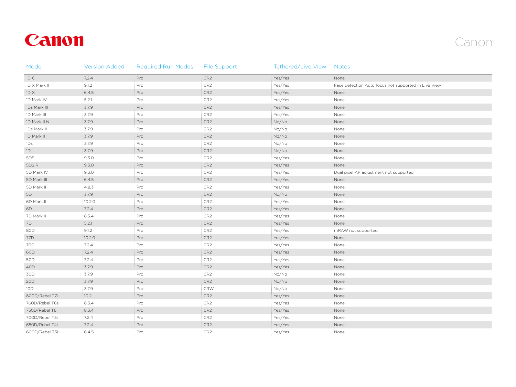## Canon



| Model           | <b>Version Added</b> | <b>Required Run Modes</b> | <b>File Support</b> | Tethered/Live View Notes |                                                      |
|-----------------|----------------------|---------------------------|---------------------|--------------------------|------------------------------------------------------|
| ID C            | 7.2.4                | Pro                       | CR <sub>2</sub>     | Yes/Yes                  | None                                                 |
| 1D X Mark II    | 9.1.2                | Pro                       | CR <sub>2</sub>     | Yes/Yes                  | Face detection Auto focus not supported in Live View |
| 1D X            | 6.4.5                | Pro                       | CR <sub>2</sub>     | Yes/Yes                  | None                                                 |
| 1D Mark IV      | 5.2.1                | Pro                       | CR <sub>2</sub>     | Yes/Yes                  | None                                                 |
| 1Ds Mark III    | 3.7.9                | Pro                       | CR <sub>2</sub>     | Yes/Yes                  | None                                                 |
| 1D Mark III     | 3.7.9                | Pro                       | CR <sub>2</sub>     | Yes/Yes                  | None                                                 |
| 1D Mark II N    | 3.7.9                | Pro                       | CR <sub>2</sub>     | No/No                    | None                                                 |
| 1Ds Mark II     | 3.7.9                | Pro                       | CR <sub>2</sub>     | No/No                    | None                                                 |
| 1D Mark II      | 3.7.9                | Pro                       | CR <sub>2</sub>     | No/No                    | None                                                 |
| 1Ds             | 3.7.9                | Pro                       | CR <sub>2</sub>     | No/No                    | None                                                 |
| 1D              | 3.7.9                | Pro                       | CR <sub>2</sub>     | No/No                    | None                                                 |
| 5DS             | 9.3.0                | Pro                       | CR <sub>2</sub>     | Yes/Yes                  | None                                                 |
| 5DS R           | 9.3.0                | Pro                       | CR <sub>2</sub>     | Yes/Yes                  | None                                                 |
| 5D Mark IV      | 9.3.0                | Pro                       | CR <sub>2</sub>     | Yes/Yes                  | Dual pixel AF adjustment not supported               |
| 5D Mark III     | 6.4.5                | Pro                       | CR <sub>2</sub>     | Yes/Yes                  | None                                                 |
| 5D Mark II      | 4.8.3                | Pro                       | CR <sub>2</sub>     | Yes/Yes                  | None                                                 |
| 5D              | 3.7.9                | Pro                       | CR <sub>2</sub>     | No/No                    | None                                                 |
| 6D Mark II      | 10.2.0               | Pro                       | CR <sub>2</sub>     | Yes/Yes                  | None                                                 |
| 6D              | 7.2.4                | Pro                       | CR <sub>2</sub>     | Yes/Yes                  | None                                                 |
| 7D Mark II      | 8.3.4                | Pro                       | CR <sub>2</sub>     | Yes/Yes                  | None                                                 |
| 7D              | 5.2.1                | Pro                       | CR <sub>2</sub>     | Yes/Yes                  | None                                                 |
| 80D             | 9.1.2                | Pro                       | CR <sub>2</sub>     | Yes/Yes                  | mRAW not supported                                   |
| 77D             | 10.2.0               | Pro                       | CR <sub>2</sub>     | Yes/Yes                  | None                                                 |
| 70D             | 7.2.4                | Pro                       | CR <sub>2</sub>     | Yes/Yes                  | None                                                 |
| 6OD             | 7.2.4                | Pro                       | CR <sub>2</sub>     | Yes/Yes                  | None                                                 |
| 50 <sub>D</sub> | 7.2.4                | Pro                       | CR <sub>2</sub>     | Yes/Yes                  | None                                                 |
| 40D             | 3.7.9                | Pro                       | CR <sub>2</sub>     | Yes/Yes                  | None                                                 |
| 30D             | 3.7.9                | Pro                       | CR <sub>2</sub>     | No/No                    | None                                                 |
| 20D             | 3.7.9                | Pro                       | CR <sub>2</sub>     | No/No                    | None                                                 |
| 10D             | 3.7.9                | Pro                       | $\mathsf{CRW}$      | No/No                    | None                                                 |
| 800D/Rebel T7i  | 10.2                 | Pro                       | CR <sub>2</sub>     | Yes/Yes                  | None                                                 |
| 760D/Rebel T6s  | 8.3.4                | Pro                       | CR <sub>2</sub>     | Yes/Yes                  | None                                                 |
| 750D/Rebel T6i  | 8.3.4                | Pro                       | CR <sub>2</sub>     | Yes/Yes                  | None                                                 |
| 700D/Rebel T5i  | 7.2.4                | Pro                       | CR <sub>2</sub>     | Yes/Yes                  | None                                                 |
| 650D/Rebel T4i  | 7.2.4                | Pro                       | CR <sub>2</sub>     | Yes/Yes                  | None                                                 |
| 600D/Rebel T3i  | 6.4.5                | Pro                       | CR <sub>2</sub>     | Yes/Yes                  | None                                                 |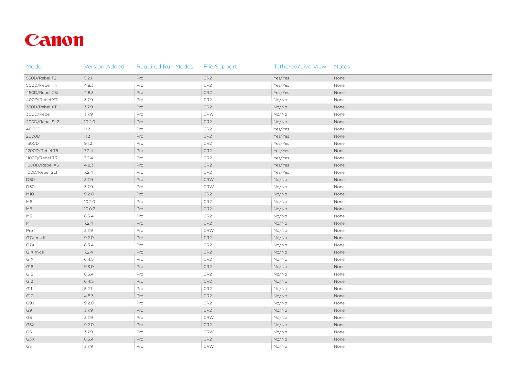## Canon

| Model          | <b>Version Added</b> | <b>Required Run Modes</b> | <b>File Support</b> | Tethered/Live View Notes |                    |
|----------------|----------------------|---------------------------|---------------------|--------------------------|--------------------|
| 550D/Rebel T2i | 5.2.1                | Pro                       | CR <sub>2</sub>     | Yes/Yes                  | None               |
| 500D/Rebel T1i | 4.8.3                | Pro                       | CR <sub>2</sub>     | Yes/Yes                  | None               |
| 450D/Rebel XSi | 4.8.3                | Pro                       | CR2                 | Yes/Yes                  | None               |
| 400D/Rebel XTi | 3.7.9                | Pro                       | CR2                 | No/No                    | None               |
| 350D/Rebel XT  | 3.7.9                | Pro                       | CR2                 | No/No                    | None               |
| 300D/Rebel     | 3.7.9                | Pro                       | $\mathsf{CRW}$      | No/No                    | None               |
| 200D/Rebel SL2 | 10.2.0               | Pro                       | CR <sub>2</sub>     | No/No                    | None               |
| 4000D          | 11.2                 | Pro                       | CR2                 | Yes/Yes                  | None               |
| 2000D          | 11.2                 | Pro                       | CR <sub>2</sub>     | Yes/Yes                  | None               |
| 1300D          | 9.1.2                | Pro                       | $\mathsf{CR}2$      | Yes/Yes                  | None               |
| 1200D/Rebel T5 | 7.2.4                | Pro                       | CR <sub>2</sub>     | Yes/Yes                  | None               |
| 1100D/Rebel T3 | 7.2.4                | Pro                       | CR <sub>2</sub>     | Yes/Yes                  | None               |
| 1000D/Rebel XS | 4.8.3                | Pro                       | CR <sub>2</sub>     | Yes/Yes                  | None               |
| 100D/Rebel SL1 | 7.2.4                | Pro                       | CR2                 | Yes/Yes                  | None               |
| <b>D60</b>     | 3.7.9                | Pro                       | $\mathsf{CRW}$      | No/No                    | None               |
| <b>D30</b>     | 3.7.9                | Pro                       | $\mathsf{CRW}$      | No/No                    | None               |
| M10            | 9.2.0                | Pro                       | CR <sub>2</sub>     | No/No                    | None               |
| M6             | 10.2.0               | Pro                       | CR2                 | No/No                    | None               |
| M5             | 10.0.2               | Pro                       | CR2                 | No/No                    | None               |
| M3             | 8.3.4                | Pro                       | CR2                 | No/No                    | None               |
| M              | 7.2.4                | Pro                       | CR <sub>2</sub>     | No/No                    | None               |
| Pro 1          | 3.7.9                | Pro                       | $\mathsf{CRW}$      | No/No                    | None               |
| G7X mk II      | 9.2.0                | Pro                       | CR <sub>2</sub>     | No/No                    | None               |
| G7X            | 8.3.4                | Pro                       | CR2                 | No/No                    | None               |
| G1X mk II      | 7.2.4                | Pro                       | CR2                 | No/No                    | None               |
| G1X            | 6.4.5                | Pro                       | CR <sub>2</sub>     | No/No                    | None               |
| G16            | 9.3.0                | Pro                       | CR <sub>2</sub>     | No/No                    | None               |
| G15            | 8.3.4                | Pro                       | CR2                 | No/No                    | None               |
| G12            | 6.4.5                | Pro                       | CR <sub>2</sub>     | No/No                    | None               |
| G11            | 5.2.1                | Pro                       | CR2                 | : No/No                  | $\frac{1}{2}$ None |
| G10            | 4.8.3                | Pro                       | CR <sub>2</sub>     | No/No                    | None               |
| G9X            | 9.2.0                | Pro                       | CR <sub>2</sub>     | No/No                    | None               |
| G9             | 3.7.9                | Pro                       | CR <sub>2</sub>     | No/No                    | None               |
| G6             | 3.7.9                | Pro                       | CRW                 | No/No                    | None               |
| G5X            | 9.2.0                | Pro                       | CR <sub>2</sub>     | No/No                    | None               |
| G5             | 3.7.9                | Pro                       | CRW                 | No/No                    | None               |
| G3X            | 8.3.4                | Pro                       | CR <sub>2</sub>     | No/No                    | None               |
| G3             | 3.7.9                | Pro                       | CRW                 | No/No                    | None               |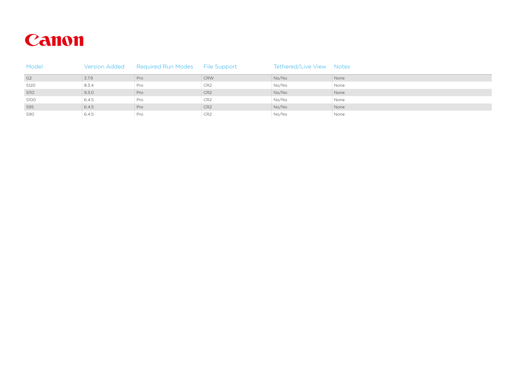

| Model          |                     | Version Added Required Run Modes File Support |                   | Tethered/Live View Notes |        |
|----------------|---------------------|-----------------------------------------------|-------------------|--------------------------|--------|
| G <sub>2</sub> | $\frac{1}{2}$ 3.7.9 | $\frac{1}{2}$ Pro                             | : CRW             | : No/No                  | : None |
| S120           | $\frac{1}{2}$ 8.3.4 | : Pro                                         | $\div$ CR2        | : No/No                  | : None |
| S110           | 9.30                | : Pro                                         | $C$ R2            | : No/No                  | : None |
| S100           | 6.4.5               | : Pro                                         | $\frac{1}{2}$ CR2 | : No/No                  | : None |
| S95            | 6.4.5               | Pro                                           | $\left\vert$ CR2  | $\frac{1}{2}$ No/No      | : None |
| S90            | 6.4.5               | : Pro                                         | $\div$ CR2        | : No/No                  | : None |
|                |                     |                                               |                   |                          |        |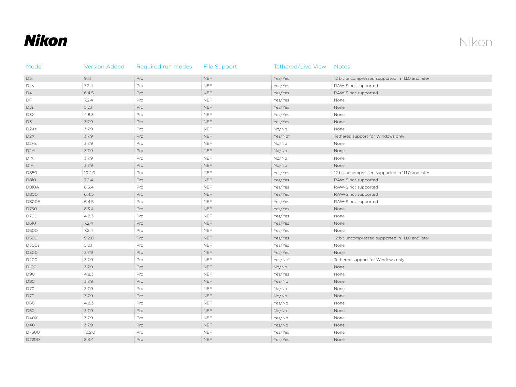## **Nikon**

| Model                         | <b>Version Added</b> | Required run modes | <b>File Support</b> | Tethered/Live View | <b>Notes</b>                                      |
|-------------------------------|----------------------|--------------------|---------------------|--------------------|---------------------------------------------------|
| D <sub>5</sub>                | 9.1.1                | Pro                | <b>NEF</b>          | Yes/Yes            | 12 bit uncompressed supported in 11.1.0 and later |
| D4s                           | 7.2.4                | Pro                | <b>NEF</b>          | Yes/Yes            | RAW-S not supported                               |
| D4                            | 6.4.5                | Pro                | <b>NEF</b>          | Yes/Yes            | RAW-S not supported                               |
| DF                            | 7.2.4                | Pro                | <b>NEF</b>          | Yes/Yes            | None                                              |
| D3s                           | 5.2.1                | Pro                | <b>NEF</b>          | Yes/Yes            | None                                              |
| D3X                           | 4.8.3                | Pro                | <b>NEF</b>          | Yes/Yes            | None                                              |
| D <sub>3</sub>                | 3.7.9                | Pro                | <b>NEF</b>          | Yes/Yes            | None                                              |
| D <sub>2</sub> X <sub>s</sub> | 3.7.9                | Pro                | <b>NEF</b>          | No/No              | None                                              |
| D <sub>2</sub> X              | 3.7.9                | Pro                | <b>NEF</b>          | Yes/No*            | Tethered support for Windows only                 |
| D2Hs                          | 3.7.9                | Pro                | <b>NEF</b>          | No/No              | None                                              |
| D <sub>2</sub> H              | 3.7.9                | Pro                | <b>NEF</b>          | No/No              | None                                              |
| D1X                           | 3.7.9                | Pro                | <b>NEF</b>          | No/No              | None                                              |
| D1H                           | 3.7.9                | Pro                | <b>NEF</b>          | No/No              | None                                              |
| D850                          | 10.2.0               | Pro                | <b>NEF</b>          | Yes/Yes            | 12 bit uncompressed supported in 11.1.0 and later |
| D810                          | 7.2.4                | Pro                | <b>NEF</b>          | Yes/Yes            | RAW-S not supported                               |
| <b>D810A</b>                  | 8.3.4                | Pro                | <b>NEF</b>          | Yes/Yes            | RAW-S not supported                               |
| D800                          | 6.4.5                | Pro                | <b>NEF</b>          | Yes/Yes            | RAW-S not supported                               |
| D800E                         | 6.4.5                | Pro                | <b>NEF</b>          | Yes/Yes            | RAW-S not supported                               |
| D750                          | 8.3.4                | Pro                | <b>NEF</b>          | Yes/Yes            | None                                              |
| D700                          | 4.8.3                | Pro                | <b>NEF</b>          | Yes/Yes            | None                                              |
| D610                          | 7.2.4                | Pro                | <b>NEF</b>          | Yes/Yes            | None                                              |
| D600                          | 7.2.4                | Pro                | <b>NEF</b>          | Yes/Yes            | None                                              |
| <b>D500</b>                   | 9.2.0                | Pro                | <b>NEF</b>          | Yes/Yes            | 12 bit uncompressed supported in 11.1.0 and later |
| D300s                         | 5.2.1                | Pro                | <b>NEF</b>          | Yes/Yes            | None                                              |
| D300                          | 3.7.9                | Pro                | <b>NEF</b>          | Yes/Yes            | None                                              |
| D200                          | 3.7.9                | Pro                | <b>NEF</b>          | Yes/No*            | Tethered support for Windows only                 |
| D100                          | 3.7.9                | Pro                | <b>NEF</b>          | No/No              | None                                              |
| D90                           | 4.8.3                | Pro                | <b>NEF</b>          | Yes/Yes            | None                                              |
| <b>D80</b>                    | 3.7.9                | Pro                | <b>NEF</b>          | Yes/No             | None                                              |
| D70s                          | 3.7.9                | Pro                | <b>NEF</b>          | No/No              | None                                              |
| D <sub>70</sub>               | 3.7.9                | Pro                | <b>NEF</b>          | No/No              | None                                              |
| <b>D60</b>                    | 4.8.3                | Pro                | <b>NEF</b>          | Yes/No             | None                                              |
| <b>D50</b>                    | 3.7.9                | Pro                | <b>NEF</b>          | No/No              | None                                              |
| D40X                          | 3.7.9                | Pro                | <b>NEF</b>          | Yes/No             | None                                              |
| D40                           | 3.7.9                | Pro                | <b>NEF</b>          | Yes/No             | None                                              |
| D7500                         | 10.2.0               | Pro                | <b>NEF</b>          | Yes/Yes            | None                                              |
| D7200                         | 8.3.4                | Pro                | <b>NEF</b>          | Yes/Yes            | None                                              |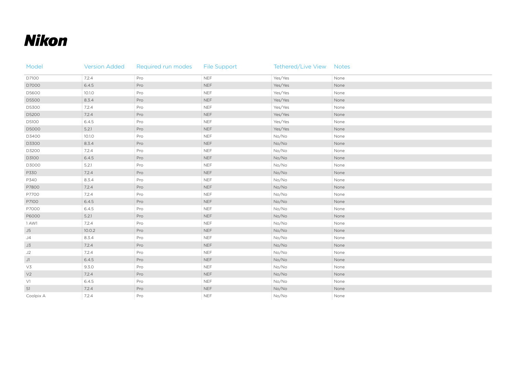## **Nikon**

| Model          | <b>Version Added</b> | Required run modes | <b>File Support</b> | Tethered/Live View Notes |      |
|----------------|----------------------|--------------------|---------------------|--------------------------|------|
| D7100          | 7.2.4                | Pro                | <b>NEF</b>          | Yes/Yes                  | None |
| D7000          | 6.4.5                | Pro                | <b>NEF</b>          | Yes/Yes                  | None |
| D5600          | 10.1.0               | Pro                | <b>NEF</b>          | Yes/Yes                  | None |
| D5500          | 8.3.4                | Pro                | <b>NEF</b>          | Yes/Yes                  | None |
| D5300          | 7.2.4                | Pro                | <b>NEF</b>          | Yes/Yes                  | None |
| D5200          | 7.2.4                | Pro                | <b>NEF</b>          | Yes/Yes                  | None |
| D5100          | 6.4.5                | Pro                | <b>NEF</b>          | Yes/Yes                  | None |
| D5000          | 5.2.1                | Pro                | <b>NEF</b>          | Yes/Yes                  | None |
| D3400          | 10.1.0               | Pro                | <b>NEF</b>          | No/No                    | None |
| D3300          | 8.3.4                | Pro                | <b>NEF</b>          | No/No                    | None |
| D3200          | 7.2.4                | Pro                | <b>NEF</b>          | No/No                    | None |
| D3100          | 6.4.5                | Pro                | <b>NEF</b>          | No/No                    | None |
| D3000          | 5.2.1                | Pro                | <b>NEF</b>          | No/No                    | None |
| P330           | 7.2.4                | Pro                | <b>NEF</b>          | No/No                    | None |
| P340           | 8.3.4                | Pro                | <b>NEF</b>          | No/No                    | None |
| P7800          | 7.2.4                | Pro                | <b>NEF</b>          | No/No                    | None |
| P7700          | 7.2.4                | Pro                | <b>NEF</b>          | No/No                    | None |
| P7100          | 6.4.5                | Pro                | <b>NEF</b>          | No/No                    | None |
| P7000          | 6.4.5                | Pro                | <b>NEF</b>          | No/No                    | None |
| P6000          | 5.2.1                | Pro                | <b>NEF</b>          | No/No                    | None |
| 1 AW1          | 7.2.4                | Pro                | <b>NEF</b>          | No/No                    | None |
| J5             | 10.0.2               | Pro                | <b>NEF</b>          | No/No                    | None |
| J4             | 8.3.4                | Pro                | <b>NEF</b>          | No/No                    | None |
| J3             | 7.2.4                | Pro                | <b>NEF</b>          | No/No                    | None |
| J2             | 7.2.4                | Pro                | <b>NEF</b>          | No/No                    | None |
| J1             | 6.4.5                | Pro                | <b>NEF</b>          | No/No                    | None |
| V3             | 9.3.0                | Pro                | <b>NEF</b>          | No/No                    | None |
| V <sub>2</sub> | 7.2.4                | Pro                | <b>NEF</b>          | No/No                    | None |
| V1             | 6.4.5                | Pro                | <b>NEF</b>          | No/No                    | None |
| S1             | 7.2.4                | Pro                | <b>NEF</b>          | No/No                    | None |
| Coolpix A      | 7.2.4                | Pro                | <b>NEF</b>          | No/No                    | None |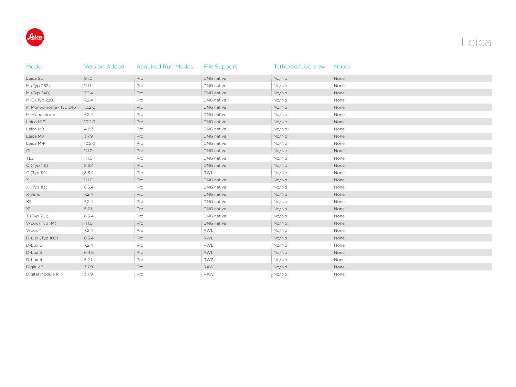

| Model                  | <b>Version Added</b> | <b>Required Run Modes</b> | File Support    | Tethered/Live view | <b>Notes</b> |
|------------------------|----------------------|---------------------------|-----------------|--------------------|--------------|
| Leica SL               | 9.1.0                | Pro                       | DNG native      | No/No              | None         |
| M (Typ 262)            | 11.1.1               | Pro                       | DNG native      | No/No              | None         |
| M (Typ 240)            | 7.2.4                | Pro                       | DNG native      | No/No              | None         |
| M-E (Typ 220)          | 7.2.4                | Pro                       | DNG native      | No/No              | None         |
| M Monochrome (Typ 246) | 10.2.0               | Pro                       | DNG native      | No/No              | None         |
| M-Monochrom            | 7.2.4                | Pro                       | DNG native      | No/No              | None         |
| Leica M10              | 10.2.0               | Pro                       | DNG native      | No/No              | None         |
| Leica M9               | 4.8.3                | Pro                       | DNG native      | No/No              | None         |
| Leica M8               | 3.7.9                | Pro                       | DNG native      | No/No              | None         |
| Leica M-P              | 10.2.0               | Pro                       | DNG native      | No/No              | None         |
| CL                     | 11.1.0               | Pro                       | DNG native      | No/No              | None         |
| TL <sub>2</sub>        | 11.1.0               | Pro                       | DNG native      | No/No              | None         |
| Q (Typ 116)            | 8.3.4                | Pro                       | DNG native      | No/No              | None         |
| C (Typ 112)            | 8.3.4                | Pro                       | <b>RWL</b>      | No/No              | None         |
| $X-U$                  | 11.1.0               | Pro                       | DNG native      | No/No              | None         |
| X (Typ 113)            | 8.3.4                | Pro                       | DNG native      | No/No              | None         |
| X Vario                | 7.2.4                | Pro                       | DNG native      | No/No              | None         |
| X2                     | 7.2.4                | Pro                       | DNG native      | No/No              | None         |
| X1                     | 5.2.1                | Pro                       | DNG native      | No/No              | None         |
| T (Typ 701)            | 8.3.4                | Pro                       | DNG native      | No/No              | None         |
| V-Lux (Typ 114)        | 11.1.0               | Pro                       | DNG native      | No/No              | None         |
| V-Lux 4                | 7.2.4                | Pro                       | <b>RWL</b>      | No/No              | None         |
| D-Lux (Typ 109)        | 8.3.4                | Pro                       | RWL             | No/No              | None         |
| D-Lux 6                | 7.2.4                | Pro                       | RWL             | No/No              | None         |
| D-Lux 5                | 6.4.5                | Pro                       | RWL             | No/No              | None         |
| D-Lux 4                | 5.2.1                | Pro                       | RW <sub>2</sub> | No/No              | None         |
| Digilux 3              | 3.7.9                | Pro                       | <b>RAW</b>      | No/No              | None         |
| Digital Module R       | 3.7.9                | Pro                       | <b>RAW</b>      | No/No              | None         |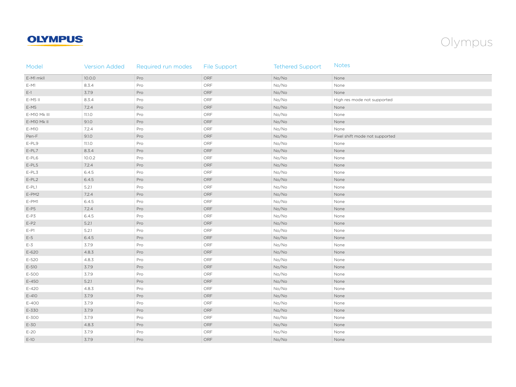### **OLYMPUS**



| Model        | <b>Version Added</b> | Required run modes | <b>File Support</b> | <b>Tethered Support</b> | <b>Notes</b>                   |
|--------------|----------------------|--------------------|---------------------|-------------------------|--------------------------------|
| E-M1 mkll    | 10.0.0               | Pro                | ORF                 | No/No                   | None                           |
| $E-M1$       | 8.3.4                | Pro                | ORF                 | No/No                   | None                           |
| $E-1$        | 3.7.9                | Pro                | ORF                 | No/No                   | None                           |
| $E-M5$ II    | 8.3.4                | Pro                | ORF                 | No/No                   | High res mode not supported    |
| $E-MS$       | 7.2.4                | Pro                | ORF                 | No/No                   | None                           |
| E-M10 Mk III | 11.1.0               | Pro                | ORF                 | No/No                   | None                           |
| E-M10 Mk II  | 9.1.0                | Pro                | ORF                 | No/No                   | None                           |
| E-M10        | 7.2.4                | Pro                | ORF                 | No/No                   | None                           |
| Pen-F        | 9.1.0                | Pro                | ORF                 | No/No                   | Pixel shift mode not supported |
| $E-PL9$      | 11.1.0               | Pro                | ORF                 | No/No                   | None                           |
| $E-PL7$      | 8.3.4                | Pro                | ORF                 | No/No                   | None                           |
| $E-PL6$      | 10.0.2               | Pro                | ORF                 | No/No                   | None                           |
| $E-PL5$      | 7.2.4                | Pro                | ORF                 | No/No                   | None                           |
| $E-PL3$      | 6.4.5                | Pro                | ORF                 | No/No                   | None                           |
| $E-PL2$      | 6.4.5                | Pro                | ${\sf ORF}$         | No/No                   | None                           |
| $E-PL1$      | 5.2.1                | Pro                | ORF                 | No/No                   | None                           |
| E-PM2        | 7.2.4                | Pro                | ${\sf ORF}$         | No/No                   | None                           |
| E-PM1        | 6.4.5                | Pro                | ORF                 | No/No                   | None                           |
| $E-PS$       | 7.2.4                | Pro                | ORF                 | No/No                   | None                           |
| $E-P3$       | 6.4.5                | Pro                | ORF                 | No/No                   | None                           |
| $E-P2$       | 5.2.1                | Pro                | ORF                 | No/No                   | None                           |
| $E-PI$       | 5.2.1                | Pro                | ORF                 | No/No                   | None                           |
| $E-5$        | 6.4.5                | Pro                | ORF                 | No/No                   | None                           |
| $E-3$        | 3.7.9                | Pro                | ORF                 | No/No                   | None                           |
| E-620        | 4.8.3                | Pro                | ORF                 | No/No                   | None                           |
| E-520        | 4.8.3                | Pro                | ORF                 | No/No                   | None                           |
| E-510        | 3.7.9                | Pro                | ORF                 | No/No                   | None                           |
| E-500        | 3.7.9                | Pro                | ORF                 | No/No                   | None                           |
| E-450        | 5.2.1                | Pro                | ORF                 | No/No                   | None                           |
| E-420        | 4.8.3                | Pro                | ORF                 | No/No                   | None                           |
| $E-410$      | 3.7.9                | Pro                | ORF                 | No/No                   | None                           |
| E-400        | 3.7.9                | Pro                | ORF                 | No/No                   | None                           |
| E-330        | 3.7.9                | Pro                | ORF                 | No/No                   | None                           |
| E-300        | 3.7.9                | Pro                | ORF                 | No/No                   | None                           |
| E-30         | 4.8.3                | Pro                | ORF                 | No/No                   | None                           |
| $E-20$       | 3.7.9                | Pro                | ORF                 | No/No                   | None                           |
| $E-10$       | 3.7.9                | Pro                | ORF                 | No/No                   | None                           |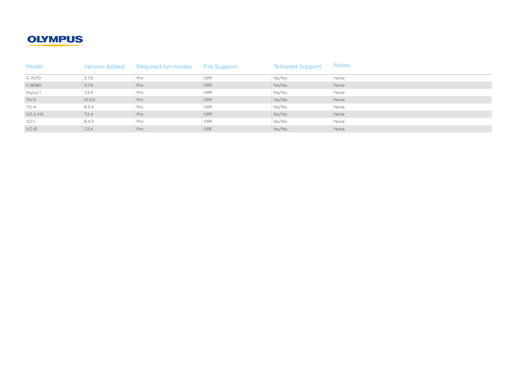### **OLYMPUS**

| Model    | <b>Version Added</b> | Required run modes File Support |                              | <b>Tethered Support</b> | <b>Notes</b> |
|----------|----------------------|---------------------------------|------------------------------|-------------------------|--------------|
| C-7070   | $\frac{1}{2}$ 3.7.9  | : Pro                           | $\overline{\phantom{a}}$ ORF | : No/No                 | : None       |
| C-8080   | $\frac{1}{2}$ 3.7.9  | $\frac{1}{2}$ Pro               | $\frac{1}{2}$ ORF            | $\frac{1}{2}$ No/No     | None         |
| Stylus 1 | $\frac{1}{2}$ 7.2.4  | : Pro                           | : ORF                        | : No/No                 | : None       |
| $TG-5$   | $\frac{1}{2}$ 10.2.0 | Pro                             | $\frac{1}{2}$ ORF            | : No/No                 | : None       |
| TG-4     | $\frac{1}{2}$ 8.3.4  | : Pro                           | : ORF                        | : No/No                 | : None       |
| XZ-2 iHS | $\frac{1}{2}$ 7.2.4  | $\frac{1}{2}$ Pro               | $\frac{1}{2}$ ORF            | : No/No                 | : None       |
| $XZ-1$   | 6.4.5                | : Pro                           | : ORF                        | : No/No                 | : None       |
| $XZ-10$  | $\therefore$ 7.2.4   | $\therefore$ Pro                | $\therefore$ ORF             | : No/No                 | : None       |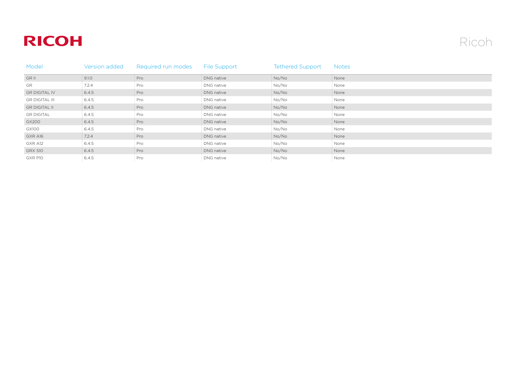## **RICOH**

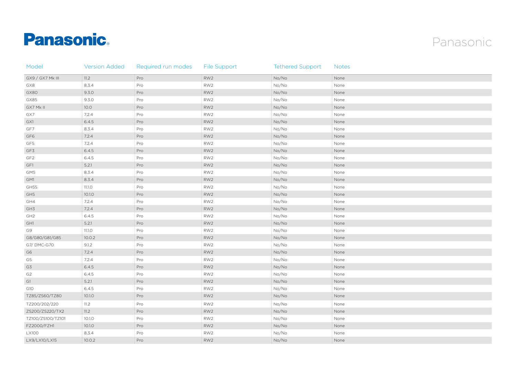# **Panasonic**



| Model             | <b>Version Added</b> | Required run modes | File Support    | <b>Tethered Support</b> | <b>Notes</b> |
|-------------------|----------------------|--------------------|-----------------|-------------------------|--------------|
| GX9 / GX7 Mk III  | 11.2                 | Pro                | RW <sub>2</sub> | No/No                   | None         |
| GX8               | 8.3.4                | Pro                | RW <sub>2</sub> | No/No                   | None         |
| GX80              | 9.3.0                | Pro                | RW <sub>2</sub> | No/No                   | None         |
| GX85              | 9.3.0                | Pro                | RW <sub>2</sub> | No/No                   | None         |
| GX7 Mk II         | 10.0                 | Pro                | RW <sub>2</sub> | No/No                   | None         |
| GX7               | 7.2.4                | Pro                | RW <sub>2</sub> | No/No                   | None         |
| GX1               | 6.4.5                | Pro                | RW <sub>2</sub> | No/No                   | None         |
| GF7               | 8.3.4                | Pro                | RW <sub>2</sub> | No/No                   | None         |
| GF6               | 7.2.4                | Pro                | RW <sub>2</sub> | No/No                   | None         |
| GF5               | 7.2.4                | Pro                | RW <sub>2</sub> | No/No                   | None         |
| GF3               | 6.4.5                | Pro                | RW <sub>2</sub> | No/No                   | None         |
| GF <sub>2</sub>   | 6.4.5                | Pro                | RW <sub>2</sub> | No/No                   | None         |
| GF1               | 5.2.1                | Pro                | RW <sub>2</sub> | No/No                   | None         |
| GM5               | 8.3.4                | Pro                | RW <sub>2</sub> | No/No                   | None         |
| GM1               | 8.3.4                | Pro                | RW <sub>2</sub> | No/No                   | None         |
| GH5S              | 11.1.0               | Pro                | RW <sub>2</sub> | No/No                   | None         |
| GH5               | 10.1.0               | Pro                | RW <sub>2</sub> | No/No                   | None         |
| GH4               | 7.2.4                | Pro                | RW <sub>2</sub> | No/No                   | None         |
| GH3               | 7.2.4                | Pro                | RW <sub>2</sub> | No/No                   | None         |
| GH2               | 6.4.5                | Pro                | RW <sub>2</sub> | No/No                   | None         |
| GH1               | 5.2.1                | Pro                | RW <sub>2</sub> | No/No                   | None         |
| G9                | 11.1.0               | Pro                | RW <sub>2</sub> | No/No                   | None         |
| G8/G80/G81/G85    | 10.0.2               | Pro                | RW <sub>2</sub> | No/No                   | None         |
| G7/DMC-G70        | 9.1.2                | Pro                | RW <sub>2</sub> | No/No                   | None         |
| G6                | 7.2.4                | Pro                | RW <sub>2</sub> | No/No                   | None         |
| G5                | 7.2.4                | Pro                | RW <sub>2</sub> | No/No                   | None         |
| G3                | 6.4.5                | Pro                | RW <sub>2</sub> | No/No                   | None         |
| G <sub>2</sub>    | 6.4.5                | Pro                | RW <sub>2</sub> | No/No                   | None         |
| GI                | 5.2.1                | Pro                | RW <sub>2</sub> | No/No                   | None         |
| G10               | 6.4.5                | Pro                | RW <sub>2</sub> | No/No                   | None         |
| TZ85/ZS60/TZ80    | 10.1.0               | Pro                | RW <sub>2</sub> | No/No                   | None         |
| TZ200/202/220     | 11.2                 | Pro                | RW <sub>2</sub> | No/No                   | None         |
| ZS200/ZS220/TX2   | 11.2                 | Pro                | RW <sub>2</sub> | No/No                   | None         |
| TZ100/ZS100/TZ101 | 10.1.0               | Pro                | RW <sub>2</sub> | No/No                   | None         |
| FZ2000/FZH1       | 10.1.0               | Pro                | RW <sub>2</sub> | No/No                   | None         |
| <b>LX100</b>      | 8.3.4                | Pro                | RW2             | No/No                   | None         |
| LX9/LX10/LX15     | 10.0.2               | Pro                | RW <sub>2</sub> | No/No                   | None         |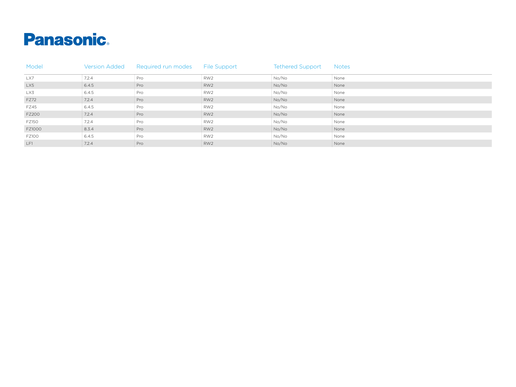

| Model        | <b>Version Added</b> | Required run modes File Support |       | <b>Tethered Support</b> | <b>Notes</b> |
|--------------|----------------------|---------------------------------|-------|-------------------------|--------------|
| LX7          | : 7.2.4              | : Pro                           | : RW2 | : No/No                 | : None       |
| LX5          | 6.4.5                | : Pro                           | RW2   | $\frac{1}{2}$ No/No     | : None       |
| LX3          | 6.4.5                | : Pro                           | RW2   | : No/No                 | None         |
| FZ72         | $\frac{1}{2}$ 7.2.4  | : Pro                           | RW2   | $\frac{1}{2}$ No/No     | : None       |
| <b>FZ45</b>  | 6.4.5                | : Pro                           | RW2   | : No/No                 | None         |
| <b>FZ200</b> | $\frac{1}{2}$ 7.2.4  | : Pro                           | ERW2  | $\frac{1}{2}$ No/No     | : None       |
| <b>FZ150</b> | 7.2.4                | : Pro                           | RW2   | : No/No                 | None         |
| FZ1000       | 8.3.4                | : Pro                           | RW2   | $\frac{1}{2}$ No/No     | : None       |
| <b>FZ100</b> | 6.4.5                | : Pro                           | RW2   | : No/No                 | : None       |
| LF1          | : 7.2.4              | : Pro                           | RW2   | $\frac{1}{2}$ No/No     | : None       |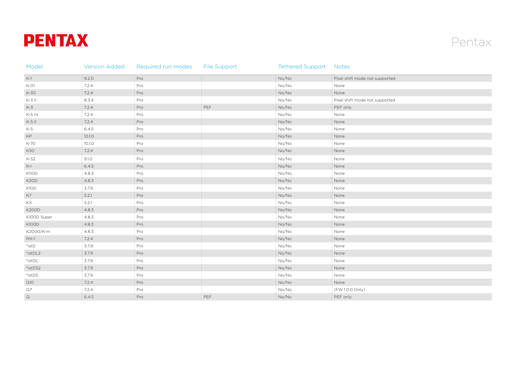



| Model                 | <b>Version Added</b> | Required run modes | <b>File Support</b> | <b>Tethered Support Notes</b> |                                |
|-----------------------|----------------------|--------------------|---------------------|-------------------------------|--------------------------------|
| $K-1$                 | 9.2.0                | Pro                |                     | No/No                         | Pixel shift mode not supported |
| $K-O1$                | 7.2.4                | Pro                |                     | No/No                         | None                           |
| K-30                  | 7.2.4                | Pro                |                     | No/No                         | None                           |
| $K-3$ II              | 8.3.4                | Pro                |                     | No/No                         | Pixel shift mode not supported |
| $K-3$                 | 7.2.4                | Pro                | PEF                 | No/No                         | PEF only                       |
| $K-5$ IIs             | 7.2.4                | Pro                |                     | No/No                         | None                           |
| $K-5$ II              | 7.2.4                | Pro                |                     | No/No                         | None                           |
| $K-5$                 | 6.4.5                | Pro                |                     | No/No                         | None                           |
| KP                    | 10.1.0               | Pro                |                     | No/No                         | None                           |
| K-70                  | 10.1.0               | Pro                |                     | No/No                         | None                           |
| <b>K50</b>            | 7.2.4                | Pro                |                     | No/No                         | None                           |
| K-S2                  | 9.1.0                | Pro                |                     | No/No                         | None                           |
| $K-r$                 | 6.4.5                | Pro                |                     | No/No                         | None                           |
| <b>K110D</b>          | 4.8.3                | Pro                |                     | No/No                         | None                           |
| K <sub>2</sub> OD     | 4.8.3                | Pro                |                     | No/No                         | None                           |
| K10D                  | 3.7.9                | Pro                |                     | No/No                         | None                           |
| K7                    | 5.2.1                | Pro                |                     | No/No                         | None                           |
| KX                    | 5.2.1                | Pro                |                     | No/No                         | None                           |
| <b>K200D</b>          | 4.8.3                | Pro                |                     | No/No                         | None                           |
| K100D Super           | 4.8.3                | Pro                |                     | No/No                         | None                           |
| K100D                 | 4.8.3                | Pro                |                     | No/No                         | None                           |
| K2000/K-m             | 4.8.3                | Pro                |                     | No/No                         | None                           |
| $MX-1$                | 7.2.4                | Pro                |                     | No/No                         | None                           |
| $*$ ist $D$           | 3.7.9                | Pro                |                     | No/No                         | None                           |
| $^*$ ist<br>DL2 $\,$  | 3.7.9                | Pro                |                     | No/No                         | None                           |
| $^*$ ist<br>DL $\,$   | 3.7.9                | Pro                |                     | No/No                         | None                           |
| $*$ ist<br>DS2 $\,$   | 3.7.9                | Pro                |                     | No/No                         | None                           |
| $^*$ ist<br>DS $\,$   | 3.7.9                | Pro                |                     | No/No                         | None                           |
| Q10                   | 7.2.4                | Pro                |                     | No/No                         | None                           |
| $\mathsf{Q}7$         | 7.2.4                | Pro                |                     | No/No                         | (FW 1.0.0 Only)                |
| $\hbox{\large \it Q}$ | 6.4.5                | Pro                | PEF                 | No/No                         | PEF only                       |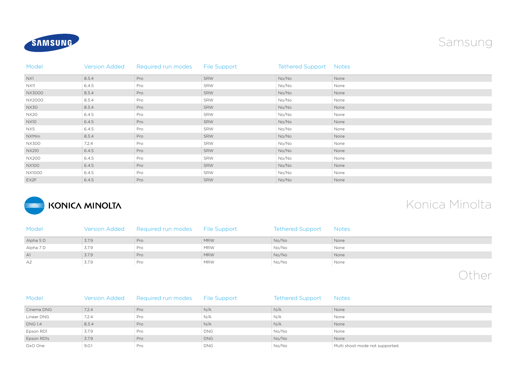



| Model        | <b>Version Added</b> | Required run modes | File Support | <b>Tethered Support Notes</b> |      |
|--------------|----------------------|--------------------|--------------|-------------------------------|------|
| NX1          | 8.3.4                | Pro                | SRW          | No/No                         | None |
| <b>NX11</b>  | 6.4.5                | Pro                | SRW          | No/No                         | None |
| NX3000       | 8.3.4                | Pro                | SRW          | No/No                         | None |
| NX2000       | 8.3.4                | Pro                | SRW          | No/No                         | None |
| NX30         | 8.3.4                | Pro                | SRW          | No/No                         | None |
| <b>NX20</b>  | 6.4.5                | Pro                | SRW          | No/No                         | None |
| <b>NX10</b>  | 6.4.5                | Pro                | SRW          | No/No                         | None |
| NX5          | 6.4.5                | Pro                | SRW          | No/No                         | None |
| NXMini       | 8.3.4                | Pro                | SRW          | No/No                         | None |
| <b>NX300</b> | 7.2.4                | Pro                | SRW          | No/No                         | None |
| NX210        | 6.4.5                | Pro                | SRW          | No/No                         | None |
| <b>NX200</b> | 6.4.5                | Pro                | SRW          | No/No                         | None |
| <b>NX100</b> | 6.4.5                | Pro                | SRW          | No/No                         | None |
| NX1000       | 6.4.5                | Pro                | SRW          | No/No                         | None |
| EX2F         | 6.4.5                | Pro                | SRW          | No/No                         | None |



## Konica Minolta

| Model     |                     | Version Added Required run modes File Support |                   | Tethered Support Notes |        |
|-----------|---------------------|-----------------------------------------------|-------------------|------------------------|--------|
| Alpha 5 D | $\frac{1}{2}$ 3.7.9 | $\therefore$ Pro                              | $\frac{1}{2}$ MRW | $\frac{1}{2}$ No/No    | : None |
| Alpha 7 D | : 3.7.9             | : Pro                                         | : MRW             | : No/No                | : None |
| A1        | $\frac{1}{2}$ 3.7.9 | $\therefore$ Pro                              | : MRW             | : No/No                | : None |
| A2        | $\frac{1}{2}$ 3.7.9 | : Pro                                         | : MRW             | : No/No                | : None |

Other

| Model          | Version Added       | Required run modes | File Support      | <b>Tethered Support</b> | <b>Notes</b>                      |
|----------------|---------------------|--------------------|-------------------|-------------------------|-----------------------------------|
| Cinema DNG     | $\frac{1}{2}$ 7.2.4 | Pro                | $\frac{1}{2}$ N/A | $\frac{1}{2}$ N/A       | : None                            |
| Linear DNG     | $\frac{1}{2}$ 7.2.4 | : Pro              | $\therefore$ N/A  | $\frac{1}{2}$ N/A       | : None                            |
| <b>DNG 1.4</b> | $\frac{1}{2}$ 8.3.4 | Pro                | $\frac{1}{2}$ N/A | $\frac{1}{2}$ N/A       | : None                            |
| Epson RD1      | : 3.7.9             | : Pro              | : DNG             | : No/No                 | : None                            |
| Epson RD1s     | $\frac{1}{2}$ 3.7.9 | $\frac{1}{2}$ Pro  | $\frac{1}{2}$ DNG | : No/No                 | : None                            |
| DxO One        | 9.0.1               | $\frac{1}{2}$ Pro  | : DNG             | : No/No                 | : Multi shoot mode not supported. |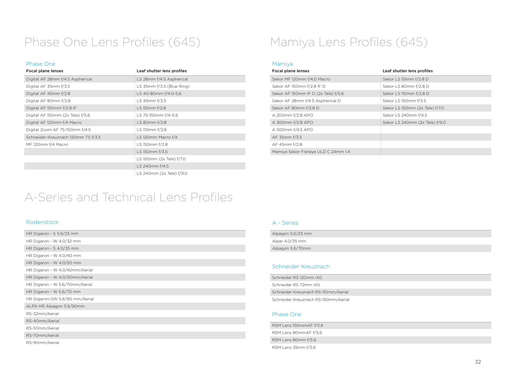## Phase One Lens Profiles (645) Mamiya Lens Profiles (645)

### Phase One

| Leaf shutter lens profiles  |  |  |
|-----------------------------|--|--|
| LS 28mm f/4.5 Aspherical    |  |  |
| LS $35mm f/3.5$ (Blue Ring) |  |  |
| LS 40-80mm f/4.0-5.6        |  |  |
| LS 45mm f/3.5               |  |  |
| LS 55mm f/2.8               |  |  |
| LS 75-150mm f/4-5.6         |  |  |
| LS 80mm f/2.8               |  |  |
| LS 110mm f/2.8              |  |  |
| LS 120mm Macro f/4          |  |  |
| LS 150mm f/2.8              |  |  |
| LS 150mm f/3.5              |  |  |
| LS 150mm (2x Tele) f/7.0    |  |  |
| LS 240mm f/4.5              |  |  |
| LS 240mm (2x Tele) f/9.0    |  |  |
|                             |  |  |

#### Mamiya

| Focal plane lenses                  | Leaf shutter lens profiles     |
|-------------------------------------|--------------------------------|
| Sekor MF 120mm f/4.0 Macro          | Sekor LS 55mm f/2.8 D          |
| Sekor AF 150mm f/2.8 IF D           | Sekor LS 80mm f/2.8 D          |
| Sekor AF 150mm IF D (2x Tele) f/5.6 | Sekor LS 110mm f/2.8 D         |
| Sekor AF 28mm f/4.5 Aspherical D    | Sekor LS 150mm f/3.5           |
| Sekor AF 80mm f/2.8 D               | Sekor LS 150mm (2x Tele) f/7.0 |
| A 200mm f/2.8 APO                   | Sekor LS 240mm f/4.5           |
| A 300mm f/2.8 APO                   | Sekor LS 240mm (2x Tele) f/9.0 |
| A 500mm f/4.5 APO                   |                                |
| AF 35mm f/3.5                       |                                |
| AF 45mm f/2.8                       |                                |
| Mamiya Sekor Fisheye ULD C 24mm 1:4 |                                |

### A-Series and Technical Lens Profiles

#### Rodenstock

| HR Digaron - $S$ 5.6/23 mm     |
|--------------------------------|
| HR Digaron - W $4.0/32$ mm     |
| HR Digaron - S 4.0/35 mm       |
| HR Digaron - W 4.0/40 mm       |
| HR Digaron - W 4.0/50 mm       |
| HR Digaron - W 4.0/40mm/Aerial |
| HR Digaron - W 4.0/50mm/Aerial |
| HR Digaron - W 5.6/70mm/Aerial |
| HR Digaron - W 5.6/70 mm       |
| HR Digaron-SW 5.6/90 mm/Aerial |
| ALPA HR Alpagon 5.6/90mm       |
| RS-32mm/Aerial                 |
| RS-40mm/Aerial                 |
| RS-50mm/Aerial                 |
| RS-70mm/Aerial                 |
| RS-90mm/Aerial                 |

#### A - Series

| Alpagon 5.6/23 mm |
|-------------------|
| Alpar 4.0/35 mm   |
| Alpagon 5.6/70mm  |
|                   |

#### Schneider Kreuznach

| Schneider RS 120mm iXG              |  |
|-------------------------------------|--|
| Schneider RS 72mm iXG               |  |
| Schneider Kreuznach RS-110mm/Aerial |  |
| Schneider Kreuznach RS-150mm/Aerial |  |

#### Phase One

RSM Lens 150mmAF f/5.6 RSM Lens 80mmAF f/5.6 RSM Lens 80mm f/5.6 RSM Lens 35mm f/5.6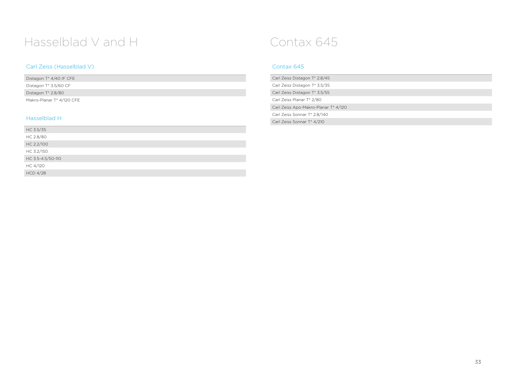## Hasselblad V and H Contax 645

### Carl Zeiss (Hasselblad V)

| Distagon T* 4/40 IF CFE           |  |
|-----------------------------------|--|
| Distagon T <sup>*</sup> 3.5/60 CF |  |
| Distagon T <sup>*</sup> 2.8/80    |  |
| Makro-Planar T* 4/120 CFE         |  |

### Hasselblad H

| HC 3.5/35         |
|-------------------|
| HC 2.8/80         |
| HC 2.2/100        |
| HC 3.2/150        |
| HC 3.5-4.5/50-110 |
| HC 4/120          |
| <b>HCD 4/28</b>   |

### Contax 645

| Carl Zeiss Distagon T <sup>*</sup> 2.8/45 |
|-------------------------------------------|
| Carl Zeiss Distagon T* 3.5/35             |
| Carl Zeiss Distagon T* 3.5/55             |
| Carl Zeiss Planar T* 2/80                 |
| Carl Zeiss Apo-Makro-Planar T* 4/120      |
| Carl Zeiss Sonnar T* 2.8/140              |
| Carl Zeiss Sonnar T <sup>*</sup> 4/210    |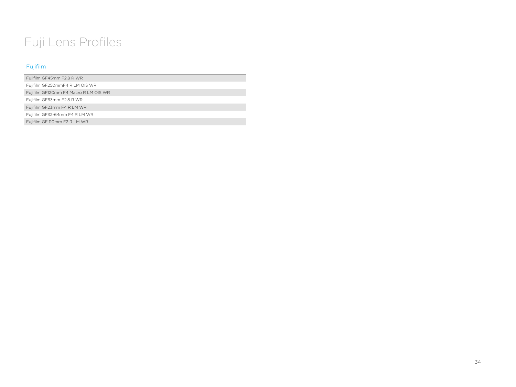## Fuji Lens Profiles

### Fujifilm

Fujifilm GF45mm F2.8 R WR

Fujifilm GF250mmF4 R LM OIS WR

Fujifilm GF120mm F4 Macro R LM OIS WR

Fujifilm GF63mm F2.8 R WR

Fujifilm GF23mm F4 R LM WR

Fujifilm GF32-64mm F4 R LM WR

Fujifilm GF 110mm F2 R LM WR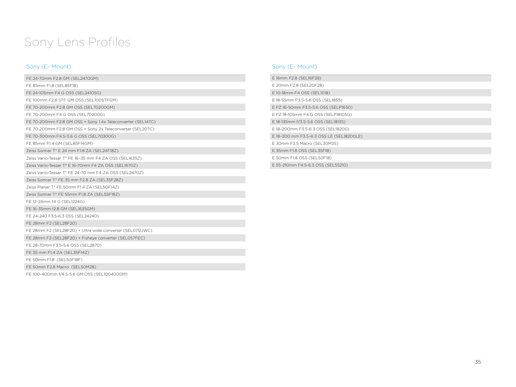## Sony Lens Profiles

### Sony (E- Mount)

| FE 24-70mm F2.8 GM (SEL2470GM)                              |
|-------------------------------------------------------------|
| FE 85mm F1.8 (SEL85F18)                                     |
| FE 24-105mm F4 G OSS (SEL24105G)                            |
| FE 100mm F2.8 STF GM OSS (SEL100STFGM)                      |
| FE 70-200mm F2.8 GM OSS (SEL70200GM)                        |
| FE 70-200mm F4 G OSS (SEL70200G)                            |
| FE 70-200mm F2.8 GM OSS + Sony 1.4x Teleconverter (SEL14TC) |
| FE 70-200mm F2.8 GM OSS + Sony 2x Teleconverter (SEL20TC)   |
| FE 70-300mm F4.5-5.6 G OSS (SEL70300G)                      |
| FE 85mm F1.4 GM (SEL85F14GM)                                |
| Zeiss Sonnar T* E 24 mm F1.8 ZA (SEL24F18Z)                 |
| Zeiss Vario-Tessar T* FE 16-35 mm F4 ZA OSS (SEL1635Z)      |
| Zeiss Vario-Tessar T* E 16-70mm F4 ZA OSS (SEL1670Z)        |
| Zeiss Vario-Tessar T* FE 24-70 mm F4 ZA OSS (SEL2470Z).     |
| Zeiss Sonnar T* FE 35 mm F2.8 ZA (SEL35F28Z)                |
| Zeiss Planar T* FE 50mm F1.4 ZA (SEL50F14Z)                 |
| Zeiss Sonnar T* FE 55mm F1.8 ZA (SEL55F18Z)                 |
| FE 12-24mm f4 G (SEL1224G)                                  |
| FE 16-35mm f2.8 GM (SEL1635GM)                              |
| FE 24-240 F3.5-6.3 OSS (SEL24240)                           |
| FE 28mm F2 (SEL28F20)                                       |
| FE 28mm F2 (SEL28F20) + Ultra wide converter (SEL075UWC)    |
| FE 28mm F2 (SEL28F20) + Fisheye converter (SEL057FEC)       |
| FE 28-70mm F3.5-5.6 OSS (SEL2870)                           |
| FE 35 mm F1.4 ZA (SEL35F14Z)                                |
| FE 50mm F1.8 (SEL50F18F)                                    |
| FE 50mm F2.8 Macro (SEL50M28)                               |
| FE 100-400mm f/4.5-5.6 GM OSS (SEL100400GM)                 |

### Sony (E- Mount)

| E 16mm F2.8 (SEL16F28)                   |
|------------------------------------------|
| E 20mm F2.8 (SEL20F28)                   |
| E 10-18mm F4 OSS (SEL1018)               |
| E 18-55mm F3.5-5.6 OSS (SEL1855)         |
| E PZ 16-50mm F3.5-5.6 OSS (SELP1650)     |
| E PZ 18-105mm F4 G OSS (SELP18105G)      |
| E 18-135mm f/3.5-5.6 OSS (SEL18135)      |
| E 18-200mm F3.5-6.3 OSS (SEL18200)       |
| E 18-200 mm F3.5-6.3 OSS LE (SEL18200LE) |
| E 30mm F3.5 Macro (SEL30M35)             |
| E 35mm F1.8 OSS (SEL35F18)               |
| E 50mm F1.8 OSS (SEL50F18)               |
| E 55-210mm F4.5-6.3 OSS (SEL55210)       |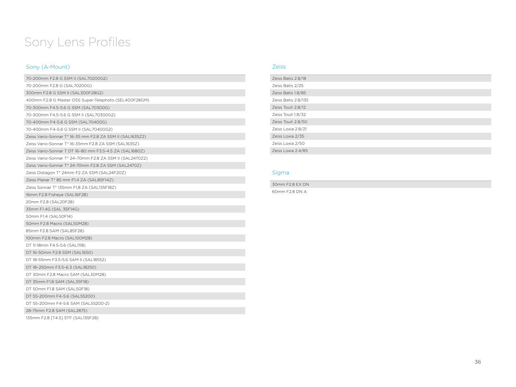## Sony Lens Profiles

### Sony (A-Mount)

| 70-200mm F2.8 G SSM II (SAL70200G2)                       |
|-----------------------------------------------------------|
| 70-200mm F2.8 G (SAL70200G)                               |
| 300mm F2.8 G SSM II (SAL300F28G2)                         |
| 400mm F2.8 G Master OSS Super-Telephoto (SEL400F28GM)     |
| 70-300mm F4.5-5.6 G SSM (SAL70300G)                       |
| 70-300mm F4.5-5.6 G SSM II (SAL70300G2)                   |
| 70-400mm F4-5.6 G SSM (SAL70400G)                         |
| 70-400mm F4-5.6 G SSM II (SAL70400G2)                     |
| Zeiss Vario-Sonnar T* 16-35 mm F2.8 ZA SSM II (SAL1635Z2) |
| Zeiss Vario-Sonnar T* 16-35mm F2.8 ZA SSM (SAL1635Z)      |
| Zeiss Vario-Sonnar T DT 16-80 mm F3.5-4.5 ZA (SAL1680Z)   |
| Zeiss Vario-Sonnar T* 24-70mm F2.8 ZA SSM II (SAL2470Z2)  |
| Zeiss Vario-Sonnar T* 24-70mm F2.8 ZA SSM (SAL2470Z)      |
| Zeiss Distagon T* 24mm F2 ZA SSM (SAL24F20Z)              |
| Zeiss Planar T* 85 mm F1.4 ZA (SAL85F14Z)                 |
| Zeiss Sonnar T* 135mm F1.8 ZA (SAL135F18Z)                |
| 16mm F2.8 Fisheye (SAL16F28)                              |
| 20mm F2.8 (SAL20F28)                                      |
| 35mm F1.4G (SAL 35F14G)                                   |
| 50mm F1.4 (SAL50F14)                                      |
| 50mm F2.8 Macro (SAL50M28)                                |
| 85mm F2.8 SAM (SAL85F28)                                  |
| 100mm F2.8 Macro (SAL100M28)                              |
| DT 11-18mm F4.5-5.6 (SAL1118)                             |
| DT 16-50mm F2.8 SSM (SAL1650)                             |
| DT 18-55mm F3.5-5.6 SAM II (SAL18552)                     |
| DT 18-250mm F3.5-6.3 (SAL18250)                           |
| DT 30mm F2.8 Macro SAM (SAL30M28)                         |
| DT 35mm F1.8 SAM (SAL35F18)                               |
| DT 50mm F1.8 SAM (SAL50F18)                               |
| DT 55-200mm F4-5.6 (SAL55200)                             |
| DT 55-200mm F4-5.6 SAM (SAL55200-2)                       |
| 28-75mm F2.8 SAM (SAL2875)                                |
| 135mm F2.8 [T4.5] STF (SAL135F28)                         |

### Zeiss

| Zeiss Batis 2.8/18  |  |
|---------------------|--|
| Zeiss Batis 2/25    |  |
| Zeiss Batis 1.8/85  |  |
| Zeiss Batis 2.8/135 |  |
| Zeiss Touit 2.8/12  |  |
| Zeiss Touit 1.8/32  |  |
| Zeiss Touit 2.8/50  |  |
| Zeiss Loxia 2.8/21  |  |
| Zeiss Loxia 2/35    |  |
| Zeiss Loxia 2/50    |  |
| Zeiss Loxia 2.4/85  |  |

### Sigma

30mm F2.8 EX DN 60mm F2.8 DN A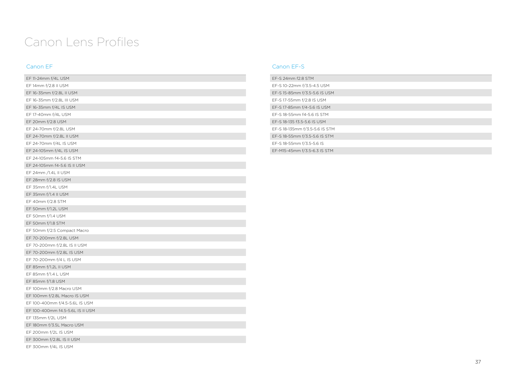## Canon Lens Profiles

### Canon EF

| EF 11-24mm f/4L USM              |
|----------------------------------|
| EF 14mm f/2.8 II USM             |
| EF 16-35mm f/2.8L II USM         |
| EF 16-35mm f/2.8L III USM        |
| EF 16-35mm f/4L IS USM           |
| EF 17-40mm f/4L USM              |
| EF 20mm f/2.8 USM                |
| EF 24-70mm f/2.8L USM            |
| EF 24-70mm f/2.8L II USM         |
| EF 24-70mm f/4L IS USM           |
| EF 24-105mm f/4L IS USM          |
| EF 24-105mm f4-5.6 IS STM        |
| EF 24-105mm f4-5.6 IS II USM     |
| EF 24mm /1.4L II USM             |
| EF 28mm f/2.8 IS USM             |
| EF 35mm f/1.4L USM               |
| EF 35mm f/1.4 II USM             |
| EF 40mm f/2.8 STM                |
| EF 50mm f/1.2L USM               |
| EF 50mm f/1.4 USM                |
| EF 50mm f/1.8 STM                |
| EF 50mm f/2.5 Compact Macro      |
| EF 70-200mm f/2.8L USM           |
| EF 70-200mm f/2.8L IS II USM     |
| EF 70-200mm f/2.8L IS USM        |
| EF 70-200mm f/4 L IS USM         |
| EF 85mm f/1.2L II USM            |
| EF 85mm f/1.4 L USM              |
| EF 85mm f/1.8 USM                |
| EF 100mm f/2.8 Macro USM         |
| EF 100mm f/2.8L Macro IS USM     |
| EF 100-400mm f/4.5-5.6L IS USM   |
| EF 100-400mm f4.5-5.6L IS II USM |
| EF 135mm f/2L USM                |
| EF 180mm f/3.5L Macro USM        |
| EF 200mm f/2L IS USM             |
| EF 300mm f/2.8L IS II USM        |
| EF 300mm f/4L IS USM             |

### Canon EF-S

| EF-S 24mm f2.8 STM             |
|--------------------------------|
| EF-S 10-22mm f/3.5-4.5 USM     |
| EF-S 15-85mm f/3.5-5.6 IS USM  |
| EF-S 17-55mm f/2.8 IS USM      |
| EF-S 17-85mm f/4-5.6 IS USM    |
| EF-S 18-55mm f4-5.6 IS STM     |
| EF-S 18-135 f3.5-5.6 IS USM    |
| EF-S 18-135mm f/3.5-5.6 IS STM |
| EF-S 18-55mm f/3.5-5.6 IS STM  |
| EF-S 18-55mm f/3.5-5.6 IS      |
| EF-M15-45mm f/3.5-6.3 IS STM   |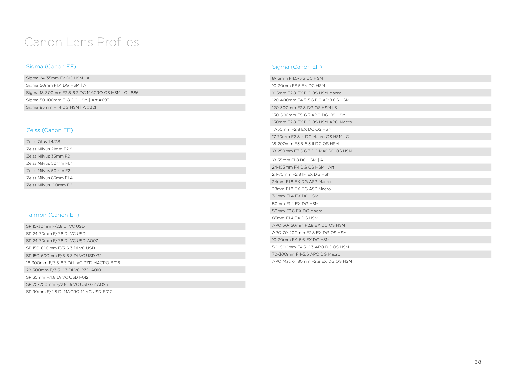## Canon Lens Profiles

### Sigma (Canon EF)

| Sigma 24-35mm F2 DG HSM $\mid$ A                 |  |
|--------------------------------------------------|--|
| Sigma 50mm F1.4 DG HSM   A                       |  |
| Sigma 18-300mm F3.5-6.3 DC MACRO OS HSM   C #886 |  |
| Sigma 50-100mm F1.8 DC HSM   Art #693            |  |
| Sigma 85mm F1.4 DG HSM   A #321                  |  |

### Zeiss (Canon EF)

| Zeiss Otus 1.4/28      |
|------------------------|
| Zeiss Milvus 21mm F2.8 |
| Zeiss Milvus 35mm F2   |
| Zeiss Milvus 50mm F1.4 |
| Zeiss Milvus 50mm F2   |
| Zeiss Milvus 85mm F1.4 |
| Zeiss Milvus 100mm F2  |

### Tamron (Canon EF)

| SP 15-30mm F/2.8 Di VC USD                 |
|--------------------------------------------|
| SP 24-70mm F/2.8 Di VC USD                 |
| SP 24-70mm F/2.8 Di VC USD A007            |
| SP 150-600mm F/5-6.3 Di VC USD             |
| SP 150-600mm F/5-6.3 Di VC USD G2          |
| 16-300mm F/3.5-6.3 Di II VC PZD MACRO B016 |
| 28-300mm F/3.5-6.3 Di VC PZD A010          |
| SP 35mm F/1.8 Di VC USD F012               |
| SP 70-200mm F/2.8 Di VC USD G2 A025        |
| SP 90mm F/2.8 Di MACRO 1:1 VC USD F017     |

### Sigma (Canon EF)

| 8-16mm F4.5-5.6 DC HSM             |  |
|------------------------------------|--|
| 10-20mm F3.5 EX DC HSM             |  |
| 105mm F2.8 EX DG OS HSM Macro      |  |
| 120-400mm F4.5-5.6 DG APO OS HSM   |  |
| 120-300mm F2.8 DG OS HSM   S       |  |
| 150-500mm F5-6.3 APO DG OS HSM     |  |
| 150mm F2.8 EX DG OS HSM APO Macro  |  |
| 17-50mm F2.8 EX DC OS HSM          |  |
| 17-70mm F2.8-4 DC Macro OS HSM   C |  |
| 18-200mm F3.5-6.3 II DC OS HSM     |  |
| 18-250mm F3.5-6.3 DC MACRO OS HSM  |  |
| 18-35mm F1.8 DC HSM   A            |  |
| 24-105mm F4 DG OS HSM   Art        |  |
| 24-70mm F2.8 IF EX DG HSM          |  |
| 24mm F1.8 FX DG ASP Macro          |  |
| 28mm F1.8 EX DG ASP Macro          |  |
| 30mm F1.4 FX DC HSM                |  |
| 50mm F1.4 EX DG HSM                |  |
| 50mm F2.8 EX DG Macro              |  |
| 85mm F1.4 EX DG HSM                |  |
| APO 50-150mm F2.8 EX DC OS HSM     |  |
| APO 70-200mm F2.8 EX DG OS HSM     |  |
| 10-20mm F4-5.6 FX DC HSM           |  |
| 50- 500mm F4.5-6.3 APO DG OS HSM   |  |
| 70-300mm F4-5.6 APO DG Macro       |  |
| APO Macro 180mm F2.8 EX DG OS HSM  |  |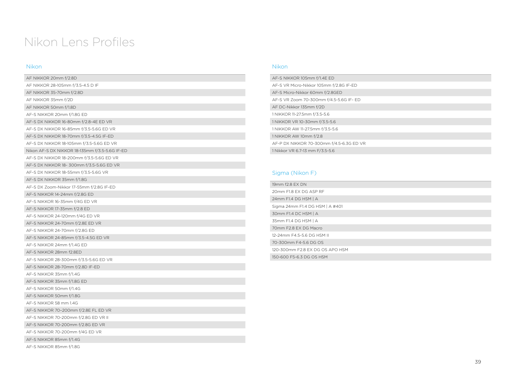## Nikon Lens Profiles

### Nikon

| AF NIKKOR 20mm f/2.8D                          |
|------------------------------------------------|
| AF NIKKOR 28-105mm f/3.5-4.5 D IF              |
| AF NIKKOR 35-70mm f/2.8D                       |
| AF NIKKOR 35mm f/2D                            |
| AF NIKKOR 50mm f/1.8D                          |
| AF-S NIKKOR 20mm f/1.8G ED                     |
| AF-S DX NIKKOR 16-80mm f/2.8-4E ED VR          |
| AF-S DX NIKKOR 16-85mm f/3.5-5.6G ED VR        |
| AF-S DX NIKKOR 18-70mm f/3.5-4.5G IF-ED        |
| AF-S DX NIKKOR 18-105mm f/3.5-5.6G ED VR       |
| Nikon AF-S DX NIKKOR 18-135mm f/3.5-5.6G IF-ED |
| AF-S DX NIKKOR 18-200mm f/3.5-5.6G ED VR       |
| AF-S DX NIKKOR 18- 300mm f/3.5-5.6G ED VR      |
| AF-S DX NIKKOR 18-55mm f/3.5-5.6G VR           |
| AF-S DX NIKKOR 35mm f/1.8G                     |
| AF-S DX Zoom-Nikkor 17-55mm f/2.8G IF-ED       |
| AF-S NIKKOR 14-24mm f/2.8G ED                  |
| AF-S NIKKOR 16-35mm f/4G ED VR                 |
| AF-S NIKKOR 17-35mm f/2.8 ED                   |
| AF-S NIKKOR 24-120mm f/4G ED VR                |
| AF-S NIKKOR 24-70mm f/2.8E ED VR               |
| AF-S NIKKOR 24-70mm f/2.8G ED                  |
| AF-S NIKKOR 24-85mm f/3.5-4.5G ED VR           |
| AF-S NIKKOR 24mm f/1.4G ED                     |
| AF-S NIKKOR 28mm f2.8ED                        |
| AF-S NIKKOR 28-300mm f/3.5-5.6G ED VR          |
| AF-S NIKKOR 28-70mm f/2.8D IF-ED               |
| AF-S NIKKOR 35mm f/1.4G                        |
| AF-S NIKKOR 35mm f/1.8G ED                     |
| AF-S NIKKOR 50mm f/1.4G                        |
| AF-S NIKKOR 50mm f/1.8G                        |
| AF-S NIKKOR 58 mm 1.4G                         |
| AF-S NIKKOR 70-200mm f/2.8E FL ED VR           |
| AF-S NIKKOR 70-200mm f/2.8G ED VR II           |
| AF-S NIKKOR 70-200mm f/2.8G ED VR              |
| AF-S NIKKOR 70-200mm f/4G ED VR                |
| AF-S NIKKOR 85mm f/1.4G                        |
| AF-S NIKKOR 85mm f/1.8G                        |

### Nikon

| AF-S NIKKOR 105mm f/1.4E ED              |
|------------------------------------------|
| AF-S VR Micro-Nikkor 105mm f/2.8G IF-ED  |
| AF-S Micro-Nikkor 60mm f/2.8GED          |
| AF-S VR Zoom 70-300mm f/4.5-5.6G IF- ED  |
| AF DC-Nikkor 135mm f/2D                  |
| 1 NIKKOR 11-27.5mm f/3.5-5.6             |
| 1 NIKKOR VR 10-30mm f/3.5-5.6            |
| 1 NIKKOR AW 11-27.5mm f/3.5-5.6          |
| 1 NIKKOR AW 10mm f/2.8                   |
| AF-P DX NIKKOR 70-300mm f/4.5-6.3G ED VR |
| 1 Nikkor VR 6.7-13 mm F/3.5-5.6          |

### Sigma (Nikon F)

| 19mm f2.8 FX DN                 |
|---------------------------------|
| 20mm F1.8 EX DG ASP RF          |
| 24mm F1.4 DG HSM   A            |
| Sigma 24mm F1.4 DG HSM   A #401 |
| 30mm F1.4 DC HSM   A            |
| 35mm F1.4 DG HSM   A            |
| 70mm F2.8 FX DG Macro           |
| 12-24mm F4.5-5.6 DG HSM II      |
| 70-300mm F4-5.6 DG OS           |
| 120-300mm F2.8 EX DG OS APO HSM |
| 150-600 F5-6.3 DG OS HSM        |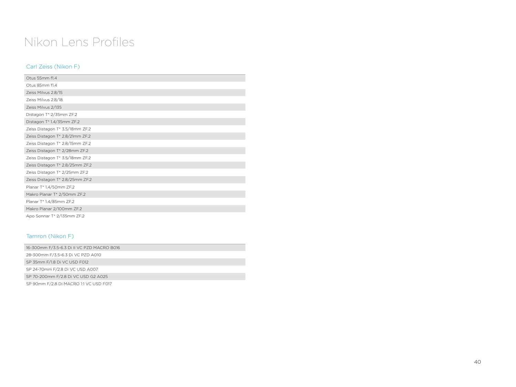## Nikon Lens Profiles

### Carl Zeiss (Nikon F)

| Otus 55mm f1.4                  |
|---------------------------------|
| Otus 85mm f1.4                  |
| Zeiss Milvus 2.8/15             |
| Zeiss Milvus 2.8/18             |
| Zeiss Milvus 2/135              |
| Distagon T* 2/35mm ZF.2         |
| Distagon T* 1.4/35mm ZF.2       |
| Zeiss Distagon T* 3.5/18mm ZF.2 |
| Zeiss Distagon T* 2.8/21mm ZF.2 |
| Zeiss Distagon T* 2.8/15mm ZF.2 |
| Zeiss Distagon T* 2/28mm ZF.2   |
| Zeiss Distagon T* 3.5/18mm ZF.2 |
| Zeiss Distagon T* 2.8/25mm ZF.2 |
| Zeiss Distagon T* 2/25mm ZF.2   |
| Zeiss Distagon T* 2.8/25mm ZF.2 |
| Planar T* 1,4/50mm ZF.2         |
| Makro Planar T* 2/50mm ZF.2     |
| Planar T* 1.4/85mm ZF.2         |
| Makro Planar 2/100mm ZF.2       |
| Apo Sonnar T* 2/135mm ZF.2      |

### Tamron (Nikon F)

| 16-300mm F/3.5-6.3 Di II VC PZD MACRO B016 |
|--------------------------------------------|
| 28-300mm F/3.5-6.3 Di VC PZD A010          |
| SP 35mm F/1.8 Di VC USD F012               |
| SP 24-70mm F/2.8 Di VC USD A007            |
| SP 70-200mm F/2.8 Di VC USD G2 A025        |
| SP 90mm F/2.8 Di MACRO 1:1 VC USD F017     |
|                                            |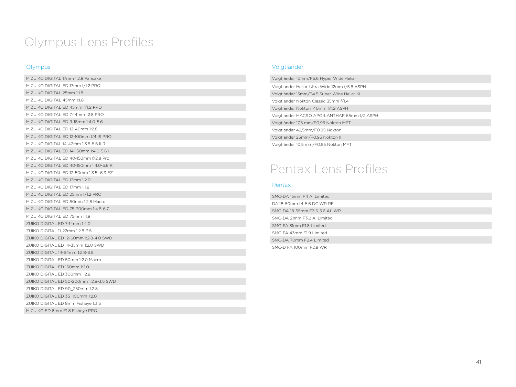## Olympus Lens Profiles

### Olympus

| M.ZUIKO DIGITAL 17mm 1:2.8 Pancake       |
|------------------------------------------|
| M.ZUIKO DIGITAL ED 17mm f/1.2 PRO        |
| M.ZUIKO DIGITAL 25mm 1:1.8               |
| M.ZUIKO DIGITAL 45mm 1:1.8               |
| M.ZUIKO DIGITAL ED 45mm f/1.2 PRO        |
| M. ZUIKO DIGITAL ED 7-14mm f2.8 PRO      |
| M.ZUIKO DIGITAL ED 9-18mm 1:4.0-5.6      |
| M.ZUIKO DIGITAL ED 12-40mm 1:2.8         |
| M.ZUIKO DIGITAL ED 12-100mm f/4 IS PRO   |
| M. ZUIKO DIGITAL 14-42mm 1:3.5-5.6 II R  |
| M.ZUIKO DIGITAL ED 14-150mm 1:4.0-5.6 II |
| M.ZUIKO DIGITAL ED 40-150mm f/2.8 Pro    |
| M.ZUIKO DIGITAL ED 40-150mm 1:4.0-5.6 R  |
| M.ZUIKO DIGITAL ED 12-50mm 1:3.5- 6.3 EZ |
| M.ZUIKO DIGITAL ED 12mm 1:2.0            |
| M.7UIKO DIGITAL ED 17mm 1:1.8            |
| M.ZUIKO DIGITAL ED 25mm f/1.2 PRO        |
| M.ZUIKO DIGITAL ED 60mm 1:2.8 Macro      |
| M.ZUIKO DIGITAL ED 75-300mm 1:4.8-6.7    |
| M.ZUIKO DIGITAL ED 75mm 1:1.8            |
| ZUIKO DIGITAL ED 7-14mm 1:4.0            |
| ZUIKO DIGITAL 11-22mm 1:2.8-3.5          |
| ZUIKO DIGITAL ED 12-60mm 1:2.8-4.0 SWD   |
| ZUIKO DIGITAL ED 14-35mm 1:2.0 SWD       |
| ZUIKO DIGITAL 14-54mm 1:2.8-3.5 II       |
| ZUIKO DIGITAL ED 50mm 1:2.0 Macro        |
| ZUIKO DIGITAL ED 150mm 1:2.0             |
| ZUIKO DIGITAL ED 300mm 1:2.8.            |
| ZUIKO DIGITAL ED 50-200mm 1:2.8-3.5 SWD  |
| ZUIKO DIGITAL ED 90 250mm 1:2.8          |
| ZUIKO DIGITAL ED 35_100mm 1:2.0          |
| ZUIKO DIGITAL ED 8mm Fisheye 1:3.5       |
| M.ZUIKO ED 8mm F1.8 Fisheye PRO          |

### Voigtländer

| Voigtländer 10mm/F5.6 Hyper Wide Heliar       |
|-----------------------------------------------|
| Voigtlander Heliar-Ultra Wide 12mm f/5.6 ASPH |
| Voigtländer 15mm/F4.5 Super Wide Heliar III   |
| Voigtlander Nokton Classic 35mm f/1.4         |
| Voigtlander Nokton 40mm f/1.2 ASPH            |
| Voigtlander MACRO APO-LANTHAR 65mm f/2 ASPH   |
| Voigtländer 17,5 mm/F0,95 Nokton MFT          |
| Voigtländer 42,5mm/F0,95 Nokton               |
| Voigtländer 25mm/F0,95 Nokton II              |
| Voigtländer 10,5 mm/F0,95 Nokton MFT          |

## Pentax Lens Profiles

### Pentax

| SMC-DA 15mm F4 Al Limited     |
|-------------------------------|
| DA 18-50mm f4-5.6 DC WR RE    |
| SMC-DA 18-55mm F3.5-5.6 AL WR |
| SMC-DA 21mm F3.2 Al Limited   |
| SMC-FA 31mm F1.8 Limited      |
| SMC-FA 43mm F1.9 Limited      |
| SMC-DA 70mm F2.4 Limited      |
| SMC-D FA 100mm F2.8 WR        |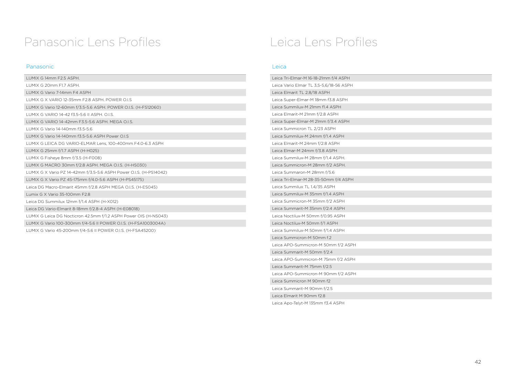## Panasonic Lens Profiles

### Panasonic

| LUMIX G 14mm F2.5 ASPH.                                            |
|--------------------------------------------------------------------|
| LUMIX G 20mm F1.7 ASPH.                                            |
| LUMIX G Vario 7-14mm F4 ASPH                                       |
| LUMIX G X VARIO 12-35mm F2.8 ASPH, POWER O.I.S                     |
| LUMIX G Vario 12-60mm f/3.5-5.6 ASPH. POWER O.I.S. (H-FS12060)     |
| LUMIX G VARIO 14-42 f3.5-5.6 II ASPH. O.I.S.                       |
| LUMIX G VARIO 14-42mm F3.5-5.6 ASPH, MEGA O.I.S.                   |
| LUMIX G Vario 14-140mm f3.5-5.6                                    |
| LUMIX G Vario 14-140mm f3.5-5.6 ASPH Power O.I.S                   |
| LUMIX G LEICA DG VARIO-ELMAR Lens, 100-400mm F4.0-6.3 ASPH         |
| LUMIX G 25mm f/1.7 ASPH (H-H025)                                   |
| LUMIX G Fisheye 8mm f/3.5 (H-F008)                                 |
| LUMIX G MACRO 30mm f/2.8 ASPH. MEGA O.I.S. (H-HS030)               |
| LUMIX G X Vario PZ 14-42mm f/3.5-5.6 ASPH Power O.I.S. (H-PS14042) |
| LUMIX G X Vario PZ 45-175mm f/4.0-5.6 ASPH (H-PS45175)             |
| Leica DG Macro-Elmarit 45mm f/2.8 ASPH MEGA O.I.S. (H-ESO45)       |
| Lumix G X Vario 35-100mm F2.8                                      |
| Leica DG Summilux 12mm f/1.4 ASPH (H-X012)                         |
| Leica DG Vario-Elmarit 8-18mm f/2.8-4 ASPH (H-E08018)              |
| LUMIX G Leica DG Nocticron 42.5mm f/1.2 ASPH Power OIS (H-NS043)   |
| LUMIX G Vario 100-300mm f/4-5.6 II POWER O.I.S. (H-FSA1003004A)    |
| LUMIX G Vario 45-200mm f/4-5.6 II POWER O.I.S. (H-FSA45200)        |

## Leica Lens Profiles

### Leica

| Leica Tri-Elmar-M 16-18-21mm f/4 ASPH   |
|-----------------------------------------|
| Leica Vario Elmar TL 3,5-5,6/18-56 ASPH |
| Leica Elmarit TL 2,8/18 ASPH            |
| Leica Super-Elmar-M 18mm f3.8 ASPH      |
| Leica Summilux-M 21mm f1.4 ASPH         |
| Leica Elmarit-M 21mm f/2.8 ASPH         |
| Leica Super-Elmar-M 21mm f/3.4 ASPH     |
| Leica Summicron TL 2/23 ASPH            |
| Leica Summilux-M 24mm f/1.4 ASPH        |
| Leica Elmarit-M 24mm f/2.8 ASPH         |
| Leica Elmar-M 24mm f/3.8 ASPH           |
| Leica Summilux-M 28mm f/1.4 ASPH.       |
| Leica Summicron-M 28mm f/2 ASPH.        |
| Leica Summaron-M 28mm f/5.6             |
| Leica Tri-Elmar-M 28-35-50mm f/4 ASPH   |
| Leica Summilux TL 1.4/35 ASPH           |
| Leica Summilux-M 35mm f/1.4 ASPH        |
| Leica Summicron-M 35mm f/2 ASPH         |
| Leica Summarit-M 35mm f/2.4 ASPH        |
| Leica Noctilux-M 50mm f/0.95 ASPH       |
| Leica Noctilux-M 50mm f/1 ASPH          |
| Leica Summilux-M 50mm f/1.4 ASPH        |
| Leica Summicron-M 50mm f.2              |
| Leica APO-Summicron-M 50mm f/2 ASPH     |
| Leica Summarit-M 50mm f/2.4             |
| Leica APO-Summicron-M 75mm f/2 ASPH     |
| Leica Summarit-M 75mm f/2.5             |
| Leica APO-Summicron-M 90mm f/2 ASPH     |
| Leica Summicron M 90mm f2               |
| Leica Summarit-M 90mm f/2.5             |
| Leica Elmarit M 90mm f2.8               |
| Leica Apo-Telyt-M 135mm f3.4 ASPH       |